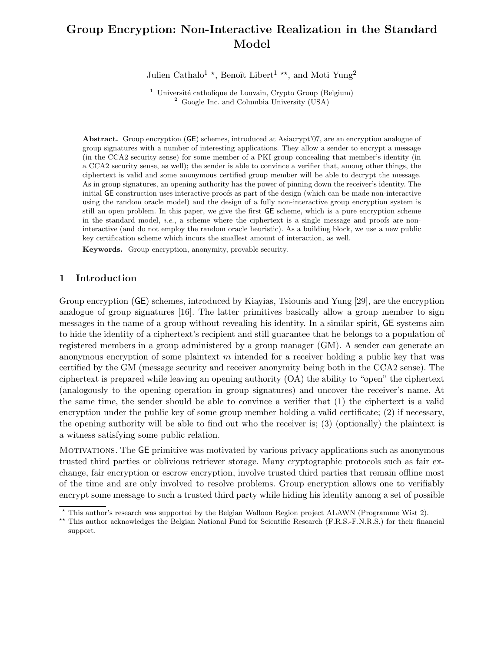# Group Encryption: Non-Interactive Realization in the Standard Model

Julien Cathalo<sup>1</sup><sup>\*</sup>, Benoît Libert<sup>1</sup><sup>\*\*</sup>, and Moti Yung<sup>2</sup>

<sup>1</sup> Université catholique de Louvain, Crypto Group (Belgium) <sup>2</sup> Google Inc. and Columbia University (USA)

Abstract. Group encryption (GE) schemes, introduced at Asiacrypt'07, are an encryption analogue of group signatures with a number of interesting applications. They allow a sender to encrypt a message (in the CCA2 security sense) for some member of a PKI group concealing that member's identity (in a CCA2 security sense, as well); the sender is able to convince a verifier that, among other things, the ciphertext is valid and some anonymous certified group member will be able to decrypt the message. As in group signatures, an opening authority has the power of pinning down the receiver's identity. The initial GE construction uses interactive proofs as part of the design (which can be made non-interactive using the random oracle model) and the design of a fully non-interactive group encryption system is still an open problem. In this paper, we give the first GE scheme, which is a pure encryption scheme in the standard model, i.e., a scheme where the ciphertext is a single message and proofs are noninteractive (and do not employ the random oracle heuristic). As a building block, we use a new public key certification scheme which incurs the smallest amount of interaction, as well.

Keywords. Group encryption, anonymity, provable security.

## 1 Introduction

Group encryption (GE) schemes, introduced by Kiayias, Tsiounis and Yung [29], are the encryption analogue of group signatures [16]. The latter primitives basically allow a group member to sign messages in the name of a group without revealing his identity. In a similar spirit, GE systems aim to hide the identity of a ciphertext's recipient and still guarantee that he belongs to a population of registered members in a group administered by a group manager (GM). A sender can generate an anonymous encryption of some plaintext  $m$  intended for a receiver holding a public key that was certified by the GM (message security and receiver anonymity being both in the CCA2 sense). The ciphertext is prepared while leaving an opening authority (OA) the ability to "open" the ciphertext (analogously to the opening operation in group signatures) and uncover the receiver's name. At the same time, the sender should be able to convince a verifier that (1) the ciphertext is a valid encryption under the public key of some group member holding a valid certificate; (2) if necessary, the opening authority will be able to find out who the receiver is; (3) (optionally) the plaintext is a witness satisfying some public relation.

Motivations. The GE primitive was motivated by various privacy applications such as anonymous trusted third parties or oblivious retriever storage. Many cryptographic protocols such as fair exchange, fair encryption or escrow encryption, involve trusted third parties that remain offline most of the time and are only involved to resolve problems. Group encryption allows one to verifiably encrypt some message to such a trusted third party while hiding his identity among a set of possible

<sup>⋆</sup> This author's research was supported by the Belgian Walloon Region project ALAWN (Programme Wist 2).

<sup>&</sup>lt;sup>\*\*</sup> This author acknowledges the Belgian National Fund for Scientific Research (F.R.S.-F.N.R.S.) for their financial support.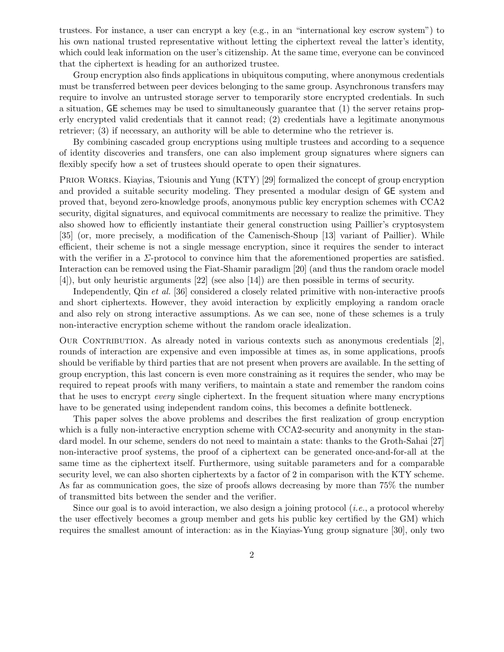trustees. For instance, a user can encrypt a key (e.g., in an "international key escrow system") to his own national trusted representative without letting the ciphertext reveal the latter's identity, which could leak information on the user's citizenship. At the same time, everyone can be convinced that the ciphertext is heading for an authorized trustee.

Group encryption also finds applications in ubiquitous computing, where anonymous credentials must be transferred between peer devices belonging to the same group. Asynchronous transfers may require to involve an untrusted storage server to temporarily store encrypted credentials. In such a situation, GE schemes may be used to simultaneously guarantee that (1) the server retains properly encrypted valid credentials that it cannot read; (2) credentials have a legitimate anonymous retriever; (3) if necessary, an authority will be able to determine who the retriever is.

By combining cascaded group encryptions using multiple trustees and according to a sequence of identity discoveries and transfers, one can also implement group signatures where signers can flexibly specify how a set of trustees should operate to open their signatures.

Prior Works. Kiayias, Tsiounis and Yung (KTY) [29] formalized the concept of group encryption and provided a suitable security modeling. They presented a modular design of GE system and proved that, beyond zero-knowledge proofs, anonymous public key encryption schemes with CCA2 security, digital signatures, and equivocal commitments are necessary to realize the primitive. They also showed how to efficiently instantiate their general construction using Paillier's cryptosystem [35] (or, more precisely, a modification of the Camenisch-Shoup [13] variant of Paillier). While efficient, their scheme is not a single message encryption, since it requires the sender to interact with the verifier in a  $\Sigma$ -protocol to convince him that the aforementioned properties are satisfied. Interaction can be removed using the Fiat-Shamir paradigm [20] (and thus the random oracle model [4]), but only heuristic arguments [22] (see also [14]) are then possible in terms of security.

Independently, Qin *et al.* [36] considered a closely related primitive with non-interactive proofs and short ciphertexts. However, they avoid interaction by explicitly employing a random oracle and also rely on strong interactive assumptions. As we can see, none of these schemes is a truly non-interactive encryption scheme without the random oracle idealization.

OUR CONTRIBUTION. As already noted in various contexts such as anonymous credentials [2], rounds of interaction are expensive and even impossible at times as, in some applications, proofs should be verifiable by third parties that are not present when provers are available. In the setting of group encryption, this last concern is even more constraining as it requires the sender, who may be required to repeat proofs with many verifiers, to maintain a state and remember the random coins that he uses to encrypt every single ciphertext. In the frequent situation where many encryptions have to be generated using independent random coins, this becomes a definite bottleneck.

This paper solves the above problems and describes the first realization of group encryption which is a fully non-interactive encryption scheme with CCA2-security and anonymity in the standard model. In our scheme, senders do not need to maintain a state: thanks to the Groth-Sahai [27] non-interactive proof systems, the proof of a ciphertext can be generated once-and-for-all at the same time as the ciphertext itself. Furthermore, using suitable parameters and for a comparable security level, we can also shorten ciphertexts by a factor of 2 in comparison with the KTY scheme. As far as communication goes, the size of proofs allows decreasing by more than 75% the number of transmitted bits between the sender and the verifier.

Since our goal is to avoid interaction, we also design a joining protocol  $(i.e., a$  protocol whereby the user effectively becomes a group member and gets his public key certified by the GM) which requires the smallest amount of interaction: as in the Kiayias-Yung group signature [30], only two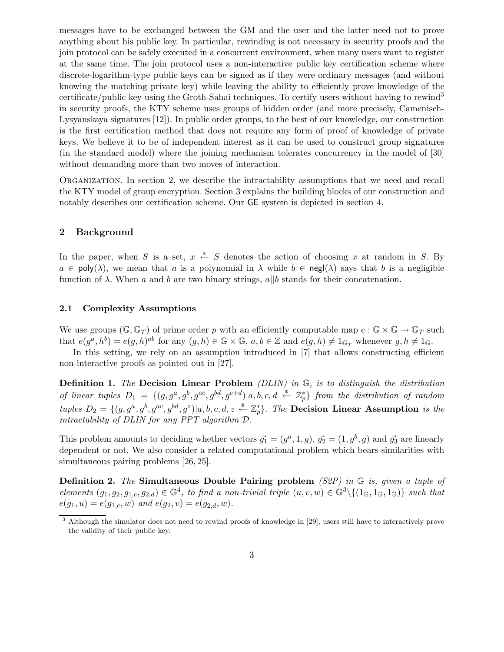messages have to be exchanged between the GM and the user and the latter need not to prove anything about his public key. In particular, rewinding is not necessary in security proofs and the join protocol can be safely executed in a concurrent environment, when many users want to register at the same time. The join protocol uses a non-interactive public key certification scheme where discrete-logarithm-type public keys can be signed as if they were ordinary messages (and without knowing the matching private key) while leaving the ability to efficiently prove knowledge of the certificate/public key using the Groth-Sahai techniques. To certify users without having to rewind<sup>3</sup> in security proofs, the KTY scheme uses groups of hidden order (and more precisely, Camenisch-Lysyanskaya signatures [12]). In public order groups, to the best of our knowledge, our construction is the first certification method that does not require any form of proof of knowledge of private keys. We believe it to be of independent interest as it can be used to construct group signatures (in the standard model) where the joining mechanism tolerates concurrency in the model of [30] without demanding more than two moves of interaction.

Organization. In section 2, we describe the intractability assumptions that we need and recall the KTY model of group encryption. Section 3 explains the building blocks of our construction and notably describes our certification scheme. Our GE system is depicted in section 4.

## 2 Background

In the paper, when S is a set,  $x \stackrel{\$}{\leftarrow} S$  denotes the action of choosing x at random in S. By  $a \in \text{poly}(\lambda)$ , we mean that a is a polynomial in  $\lambda$  while  $b \in \text{negl}(\lambda)$  says that b is a negligible function of  $\lambda$ . When a and b are two binary strings, a||b stands for their concatenation.

## 2.1 Complexity Assumptions

We use groups ( $\mathbb{G}, \mathbb{G}_T$ ) of prime order p with an efficiently computable map  $e : \mathbb{G} \times \mathbb{G} \to \mathbb{G}_T$  such that  $e(g^a, h^b) = e(g, h)^{ab}$  for any  $(g, h) \in \mathbb{G} \times \mathbb{G}$ ,  $a, b \in \mathbb{Z}$  and  $e(g, h) \neq 1_{\mathbb{G}_T}$  whenever  $g, h \neq 1_{\mathbb{G}}$ .

In this setting, we rely on an assumption introduced in  $[7]$  that allows constructing efficient non-interactive proofs as pointed out in [27].

**Definition 1.** The Decision Linear Problem (DLIN) in  $\mathbb{G}$ , is to distinguish the distribution of linear tuples  $D_1 = \{(g, g^a, g^b, g^{ac}, g^{bd}, g^{c+d}) | a, b, c, d \stackrel{\$}{\leftarrow} \mathbb{Z}_p^*\}$  from the distribution of random tuples  $D_2 = \{(g, g^a, g^b, g^{ac}, g^{bd}, g^z) | a, b, c, d, z \stackrel{\$}{\leftarrow} \mathbb{Z}_p^*\}$ . The Decision Linear Assumption is the intractability of DLIN for any PPT algorithm D.

This problem amounts to deciding whether vectors  $\vec{g}_1 = (g^a, 1, g), \, \vec{g}_2 = (1, g^b, g)$  and  $\vec{g}_3$  are linearly dependent or not. We also consider a related computational problem which bears similarities with simultaneous pairing problems [26, 25].

Definition 2. The Simultaneous Double Pairing problem  $(S2P)$  in  $\mathbb G$  is, given a tuple of elements  $(g_1, g_2, g_{1,c}, g_{2,d}) \in \mathbb{G}^4$ , to find a non-trivial triple  $(u, v, w) \in \mathbb{G}^3 \setminus \{(1_\mathbb{G}, 1_\mathbb{G}, 1_\mathbb{G})\}$  such that  $e(g_1, u) = e(g_{1,c}, w)$  and  $e(g_2, v) = e(g_{2,d}, w)$ .

<sup>&</sup>lt;sup>3</sup> Although the simulator does not need to rewind proofs of knowledge in [29], users still have to interactively prove the validity of their public key.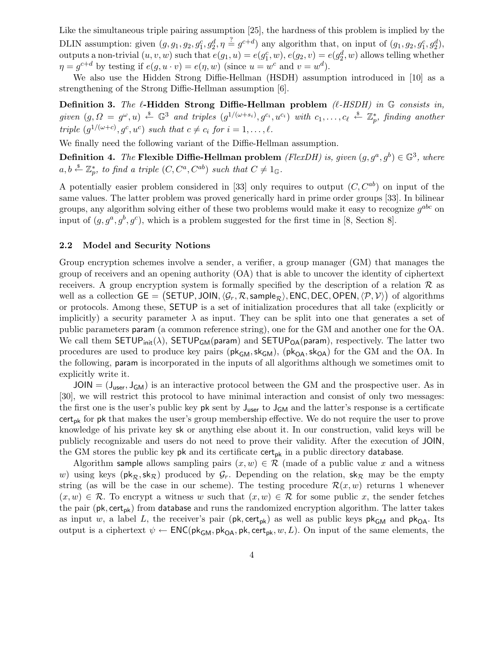Like the simultaneous triple pairing assumption [25], the hardness of this problem is implied by the DLIN assumption: given  $(g, g_1, g_2, g_1^c, g_2^d, \eta \stackrel{?}{=} g^{c+d})$  any algorithm that, on input of  $(g_1, g_2, g_1^c, g_2^d)$ , outputs a non-trivial  $(u, v, w)$  such that  $e(g_1, u) = e(g_1^c, w), e(g_2, v) = e(g_2^d, w)$  allows telling whether  $\eta = g^{c+d}$  by testing if  $e(g, u \cdot v) = e(\eta, w)$  (since  $u = w^c$  and  $v = w^d$ ).

We also use the Hidden Strong Diffie-Hellman (HSDH) assumption introduced in [10] as a strengthening of the Strong Diffie-Hellman assumption [6].

Definition 3. The  $\ell$ -Hidden Strong Diffie-Hellman problem  $(\ell$ -HSDH) in G consists in,  $given (g, \Omega = g^{\omega}, u) \stackrel{\$}{\leftarrow} \mathbb{G}^3$  and triples  $(g^{1/(\omega+s_i)}, g^{c_i}, u^{c_i})$  with  $c_1, \ldots, c_\ell \stackrel{\$}{\leftarrow} \mathbb{Z}_p^*$ , finding another triple  $(g^{1/(\omega+c)}, g^c, u^c)$  such that  $c \neq c_i$  for  $i = 1, \ldots, \ell$ .

We finally need the following variant of the Diffie-Hellman assumption.

**Definition 4.** The Flexible Diffie-Hellman problem (FlexDH) is, given  $(g, g^a, g^b) \in \mathbb{G}^3$ , where  $a, b \stackrel{\$}{\leftarrow} \mathbb{Z}_p^*$ , to find a triple  $(C, C^a, C^{ab})$  such that  $C \neq 1_{\mathbb{G}}$ .

A potentially easier problem considered in [33] only requires to output  $(C, C^{ab})$  on input of the same values. The latter problem was proved generically hard in prime order groups [33]. In bilinear groups, any algorithm solving either of these two problems would make it easy to recognize  $g^{abc}$  on input of  $(g, g^a, g^b, g^c)$ , which is a problem suggested for the first time in [8, Section 8].

#### 2.2 Model and Security Notions

Group encryption schemes involve a sender, a verifier, a group manager (GM) that manages the group of receivers and an opening authority (OA) that is able to uncover the identity of ciphertext receivers. A group encryption system is formally specified by the description of a relation  $\mathcal R$  as well as a collection  $\mathsf{GE} = \big(\mathsf{SETUP},\mathsf{JOIN},\langle\mathcal{G}_r,\mathcal{R},\mathsf{sample}_\mathcal{R}\rangle,\mathsf{ENC},\mathsf{DEC},\mathsf{OPEN},\langle\mathcal{P},\mathcal{V}\rangle\big)$  of algorithms or protocols. Among these, SETUP is a set of initialization procedures that all take (explicitly or implicitly) a security parameter  $\lambda$  as input. They can be split into one that generates a set of public parameters param (a common reference string), one for the GM and another one for the OA. We call them  $SETUP<sub>init</sub>(\lambda)$ ,  $SETUP<sub>GM</sub>(param)$  and  $SETUP<sub>OA</sub>(param)$ , respectively. The latter two procedures are used to produce key pairs ( $pk_{GM}$ ,  $sk_{GM}$ ), ( $pk_{OA}$ ,  $sk_{OA}$ ) for the GM and the OA. In the following, param is incorporated in the inputs of all algorithms although we sometimes omit to explicitly write it.

 $JOIN = (J_{user}, J_{GM})$  is an interactive protocol between the GM and the prospective user. As in [30], we will restrict this protocol to have minimal interaction and consist of only two messages: the first one is the user's public key pk sent by  $J_{user}$  to  $J_{GM}$  and the latter's response is a certificate  $cert_{pk}$  for pk that makes the user's group membership effective. We do not require the user to prove knowledge of his private key sk or anything else about it. In our construction, valid keys will be publicly recognizable and users do not need to prove their validity. After the execution of JOIN, the GM stores the public key pk and its certificate cert<sub>pk</sub> in a public directory database.

Algorithm sample allows sampling pairs  $(x, w) \in \mathcal{R}$  (made of a public value x and a witness w) using keys ( $pk_R, sk_R$ ) produced by  $\mathcal{G}_r$ . Depending on the relation,  $sk_R$  may be the empty string (as will be the case in our scheme). The testing procedure  $\mathcal{R}(x,w)$  returns 1 whenever  $(x, w) \in \mathcal{R}$ . To encrypt a witness w such that  $(x, w) \in \mathcal{R}$  for some public x, the sender fetches the pair ( $pk$ ,  $cert_{pk}$ ) from database and runs the randomized encryption algorithm. The latter takes as input w, a label L, the receiver's pair ( $pk, cert_{pk}$ ) as well as public keys  $pk_{GM}$  and  $pk_{OA}$ . Its output is a ciphertext  $\psi \leftarrow \text{ENC}(\text{pk}_{GM}, \text{pk}_{OA}, \text{pk}, \text{cert}_{pk}, w, L)$ . On input of the same elements, the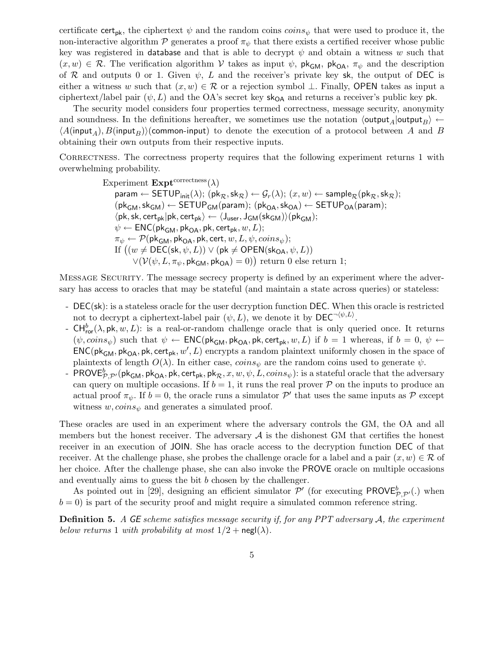certificate cert<sub>pk</sub>, the ciphertext  $\psi$  and the random coins coins<sub> $\psi$ </sub> that were used to produce it, the non-interactive algorithm  $\mathcal P$  generates a proof  $\pi_{\psi}$  that there exists a certified receiver whose public key was registered in database and that is able to decrypt  $\psi$  and obtain a witness w such that  $(x,w) \in \mathcal{R}$ . The verification algorithm V takes as input  $\psi$ ,  $\mathsf{pk}_{\mathsf{GM}}$ ,  $\mathsf{pk}_{\mathsf{OA}}$ ,  $\pi_{\psi}$  and the description of R and outputs 0 or 1. Given  $\psi$ , L and the receiver's private key sk, the output of DEC is either a witness w such that  $(x, w) \in \mathcal{R}$  or a rejection symbol  $\perp$ . Finally, OPEN takes as input a ciphertext/label pair  $(\psi, L)$  and the OA's secret key sk<sub>OA</sub> and returns a receiver's public key pk.

The security model considers four properties termed correctness, message security, anonymity and soundness. In the definitions hereafter, we sometimes use the notation  $\langle$ output<sub>A</sub> $\rangle$  ←  $\langle A(\text{input}_A), B(\text{input}_B) \rangle$ (common-input) to denote the execution of a protocol between A and B obtaining their own outputs from their respective inputs.

CORRECTNESS. The correctness property requires that the following experiment returns 1 with overwhelming probability.

> Experiment  $\text{Expt}^{\text{correctness}}(\lambda)$ param ← SETUP<sub>init</sub>( $\lambda$ ); (pk<sub>R</sub>, sk<sub>R</sub>) ←  $\mathcal{G}_r(\lambda)$ ; ( $x, w$ ) ← sample<sub>R</sub>(pk<sub>R</sub>, sk<sub>R</sub>);  $(pk_{GM}, sk_{GM}) \leftarrow$  SETUP<sub>GM</sub>(param);  $(pk_{OA}, sk_{OA}) \leftarrow$  SETUP<sub>OA</sub>(param);  $\langle \mathsf{pk},\mathsf{sk},\mathsf{cert_{pk}}|\mathsf{pk},\mathsf{cert_{pk}}\rangle\leftarrow \langle \mathsf{J}_{\mathsf{user}},\mathsf{J}_{\mathsf{GM}}(\mathsf{sk}_{\mathsf{GM}})\rangle(\mathsf{pk}_{\mathsf{GM}});$  $\psi \leftarrow \textsf{ENC}(\textsf{pk}_{\textsf{GM}},\textsf{pk}_{\textsf{OA}},\textsf{pk},\textsf{cert}_{\textsf{pk}},w,L);$  $\pi_{\psi} \leftarrow \mathcal{P}(\mathsf{pk}_{\mathsf{GM}}, \mathsf{pk}_{\mathsf{OA}}, \mathsf{pk}, \mathsf{cert}, w, L, \psi, \mathit{coins}_{\psi});$ If  $((w \neq \mathsf{DEC}(\mathsf{sk}, \psi, L)) \vee (\mathsf{pk} \neq \mathsf{OPEN}(\mathsf{sk}_{\mathsf{OA}}, \psi, L))$  $\vee(\mathcal{V}(\psi, L, \pi_{\psi}, \mathsf{pk}_{\mathsf{GM}}, \mathsf{pk}_{\mathsf{OA}}) = 0))$  return 0 else return 1;

Message Security. The message secrecy property is defined by an experiment where the adversary has access to oracles that may be stateful (and maintain a state across queries) or stateless:

- DEC(sk): is a stateless oracle for the user decryption function DEC. When this oracle is restricted not to decrypt a ciphertext-label pair  $(\psi, L)$ , we denote it by  $\mathsf{DEC}^{\neg(\psi, L)}$ .
- $CH_{\text{ror}}^b(\lambda, \mathsf{pk}, w, L)$ : is a real-or-random challenge oracle that is only queried once. It returns  $(\psi, coins_{\psi})$  such that  $\psi \leftarrow \text{ENC}(pk_{GM}, pk_{OA}, pk, cert_{pk}, w, L)$  if  $b = 1$  whereas, if  $b = 0, \psi \leftarrow$  $ENC(\mathsf{pk}_{GM}, \mathsf{pk}_{OA}, \mathsf{pk}, \mathsf{cert}_{\mathsf{pk}}, w', L)$  encrypts a random plaintext uniformly chosen in the space of plaintexts of length  $O(\lambda)$ . In either case,  $\text{coins}_{\psi}$  are the random coins used to generate  $\psi$ .
- PROVE $^b_{\mathcal{P},\mathcal{P}'}$ (pk<sub>GM</sub>, pk<sub>OA</sub>, pk, cert<sub>pk</sub>, pk<sub>R</sub>,  $x,w,\psi,L, coins_\psi)$ : is a stateful oracle that the adversary can query on multiple occasions. If  $b = 1$ , it runs the real prover P on the inputs to produce an actual proof  $\pi_{\psi}$ . If  $b = 0$ , the oracle runs a simulator  $\mathcal{P}'$  that uses the same inputs as  $\mathcal{P}$  except witness  $w, coins_{\psi}$  and generates a simulated proof.

These oracles are used in an experiment where the adversary controls the GM, the OA and all members but the honest receiver. The adversary  $A$  is the dishonest GM that certifies the honest receiver in an execution of JOIN. She has oracle access to the decryption function DEC of that receiver. At the challenge phase, she probes the challenge oracle for a label and a pair  $(x,w) \in \mathcal{R}$  of her choice. After the challenge phase, she can also invoke the PROVE oracle on multiple occasions and eventually aims to guess the bit b chosen by the challenger.

As pointed out in [29], designing an efficient simulator  $\mathcal{P}'$  (for executing PROVE $^b_{\mathcal{P},\mathcal{P}'}(.)$ ) when  $b = 0$ ) is part of the security proof and might require a simulated common reference string.

**Definition 5.** A GE scheme satisfies message security if, for any PPT adversary A, the experiment below returns 1 with probability at most  $1/2 + \text{negl}(\lambda)$ .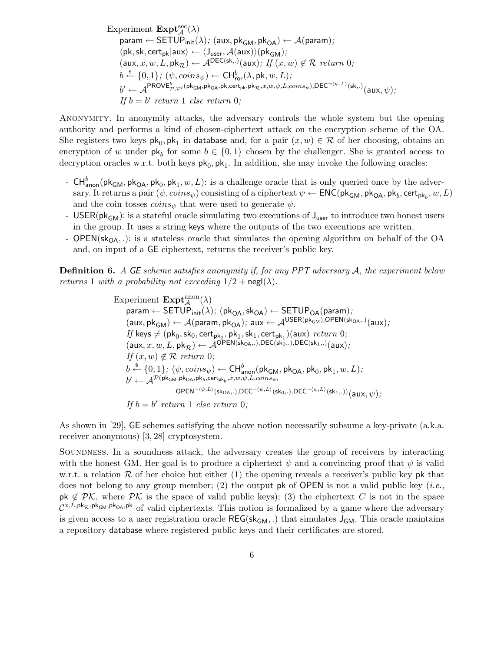Experiment  $\mathbf{Expt}^{\text{sec}}_{\mathcal{A}}(\lambda)$  $\mathsf{param} \leftarrow \mathsf{SETUP}_{\mathsf{init}}(\lambda); (\mathsf{aux}, \mathsf{pk}_{\mathsf{GM}}, \mathsf{pk}_{\mathsf{OA}}) \leftarrow \mathcal{A}(\mathsf{param});$  $\langle$ pk, sk, cert<sub>pk</sub>|aux $\rangle \leftarrow \langle J_{user}, \mathcal{A}(aux)\rangle$ (pk<sub>GM</sub>);  $(\mathsf{aux}, x, w, L, \mathsf{pk}_{\mathcal{R}}) \leftarrow \mathcal{A}^{\mathsf{DEC}(\mathsf{sk},.)}(\mathsf{aux}); \textit{If } (x, w) \notin \mathcal{R} \textit{ return } 0;$  $b \stackrel{\$}{\leftarrow} \{0,1\}$ ;  $(\psi, coins_{\psi}) \leftarrow \mathsf{CH}^b_{\mathsf{ror}}(\lambda, \mathsf{pk}, w, L)$ ;  $b' \leftarrow \mathcal{A}^{\mathsf{PROVE}^b_{{\cal P},{\cal P}'}}({\mathsf{pk}}_{\mathsf{GM}}, {\mathsf{pk}}_{\mathsf{OA}},{\mathsf{pk}}, \mathsf{cert}_{\mathsf{pk}}, {\mathsf{pk}}_{\mathcal{R}}, x, w, \psi, L, coins_\psi), \mathsf{DEC}^{\neg(\psi,L)}(\mathsf{sk},.)\big(\mathsf{aux},\psi\big);$ If  $b = b'$  return 1 else return 0;

Anonymity. In anonymity attacks, the adversary controls the whole system but the opening authority and performs a kind of chosen-ciphertext attack on the encryption scheme of the OA. She registers two keys  $\mathsf{pk}_0$ ,  $\mathsf{pk}_1$  in database and, for a pair  $(x,w) \in \mathcal{R}$  of her choosing, obtains an encryption of w under  $\mathsf{pk}_b$  for some  $b \in \{0,1\}$  chosen by the challenger. She is granted access to decryption oracles w.r.t. both keys  $pk_0, pk_1$ . In addition, she may invoke the following oracles:

- $CH_{\text{anon}}^b(\text{pk}_{GM}, \text{pk}_{OA}, \text{pk}_0, \text{pk}_1, w, L)$ : is a challenge oracle that is only queried once by the adversary. It returns a pair  $(\psi, coins_\psi)$  consisting of a ciphertext  $\psi \leftarrow \mathsf{ENC}(\mathsf{pk}_{\mathsf{GM}}, \mathsf{pk}_{\mathsf{OA}}, \mathsf{pk}_b, \mathsf{cert}_{\mathsf{pk}_b}, w, L)$ and the coin tosses  $\text{coins}_{\psi}$  that were used to generate  $\psi$ .
- USER( $pk_{GM}$ ): is a stateful oracle simulating two executions of  $J_{user}$  to introduce two honest users in the group. It uses a string keys where the outputs of the two executions are written.
- OPEN( $sk_{OA}$ .): is a stateless oracle that simulates the opening algorithm on behalf of the OA and, on input of a GE ciphertext, returns the receiver's public key.

**Definition 6.** A GE scheme satisfies anonymity if, for any  $PPT$  adversary A, the experiment below returns 1 with a probability not exceeding  $1/2 + \text{negl}(\lambda)$ .

> Experiment  $\text{Expt}_{\mathcal{A}}^{\text{anon}}(\lambda)$  $\overrightarrow{p}$ param ← SETU $\overrightarrow{P}_{init}(\lambda)$ ; (pk<sub>OA</sub>, sk<sub>OA</sub>) ← SETUP<sub>OA</sub>(param);  $(\mathsf{aux}, \mathsf{pk}_{\mathsf{GM}}) \leftarrow \mathcal{A}(\mathsf{param}, \mathsf{pk}_{\mathsf{OA}}); \, \mathsf{aux} \leftarrow \mathcal{A}^{\mathsf{USER}(\mathsf{pk}_{\mathsf{GM}}), \mathsf{OPEN}(\mathsf{sk}_{\mathsf{OA}}, .)}(\mathsf{aux});$ If keys  $\neq$   $(\mathsf{pk}_0, \mathsf{sk}_0, \mathsf{cert}_{\mathsf{pk}_0}, \mathsf{pk}_1, \mathsf{sk}_1, \mathsf{cert}_{\mathsf{pk}_1})(\mathsf{aux})$   $return~0;$  $(\mathsf{aux}, x, w, L, \mathsf{pk}_{\mathcal{R}}) \leftarrow \mathcal{A}^{\mathsf{OPEN}(\mathsf{sk}_{\mathsf{OA}},.)}, \mathsf{DEC}(\mathsf{sk}_0,.)}, \mathsf{DEC}(\mathsf{sk}_1,.)}(\mathsf{aux});$ If  $(x, w) \notin \mathcal{R}$  return 0;  $b \stackrel{\hspace{0.1em}\mathsf{\scriptscriptstyle\$}}{\leftarrow} \{0,1\} ;\ (\psi, coins_\psi) \leftarrow \mathsf{CH}^b_\mathsf{anon}(\mathsf{pk}_\mathsf{GM}, \mathsf{pk}_\mathsf{OA}, \mathsf{pk}_0, \mathsf{pk}_1, w, L);$  $b' \leftarrow \mathcal{A}^{\mathcal{P}(\mathsf{pk}_{\mathsf{GM}}, \mathsf{pk}_{\mathsf{OA}}, \mathsf{pk}_b, \mathsf{cert}_{\mathsf{pk}_b}, x, w, \psi, L, coins_{\psi},$  $\mathsf{OPEN}^{\neg(\psi,L)}(\mathsf{sk}_{\mathsf{OA}},\cdot),\mathsf{DEC}^{\neg(\psi,L)}(\mathsf{sk}_0,\cdot),\mathsf{DEC}^{\neg(\psi,L)}(\mathsf{sk}_1,\cdot))\big(\mathsf{aux},\psi\big);$ If  $b = b'$  return 1 else return 0;

As shown in [29], GE schemes satisfying the above notion necessarily subsume a key-private (a.k.a. receiver anonymous) [3, 28] cryptosystem.

Soundness. In a soundness attack, the adversary creates the group of receivers by interacting with the honest GM. Her goal is to produce a ciphertext  $\psi$  and a convincing proof that  $\psi$  is valid w.r.t. a relation  $\mathcal R$  of her choice but either (1) the opening reveals a receiver's public key pk that does not belong to any group member; (2) the output pk of OPEN is not a valid public key (*i.e.*, pk  $\notin$  PK, where PK is the space of valid public keys); (3) the ciphertext C is not in the space  $\mathcal{C}^{x,L,\mathsf{pk}_{\mathsf{CR}},\mathsf{pk}_{\mathsf{GA}},\mathsf{pk}_{\mathsf{OA}},\mathsf{pk}_{\mathsf{B}}$  of valid ciphertexts. This notion is formalized by a game where the adversary is given access to a user registration oracle  $REG(\mathsf{sk}_{GM},.)$  that simulates  $J_{GM}$ . This oracle maintains a repository database where registered public keys and their certificates are stored.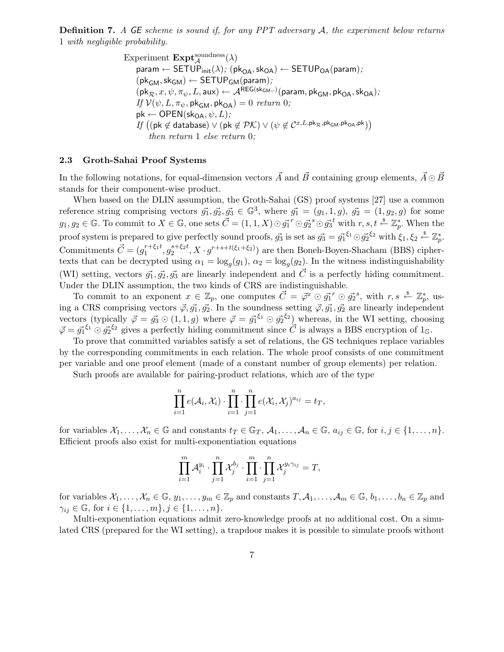**Definition 7.** A GE scheme is sound if, for any PPT adversary A, the experiment below returns 1 with negligible probability.

$$
\begin{array}{l} \text { Experiment }\text { \bf Expt}^{\rm soundness}_{\mathcal A}(\lambda) \\ \text { param }\leftarrow \text { SETUP}_{\text{init}}(\lambda); \ (\text {pk}_{\text {OA}},\text {sk}_{\text {OA}})\leftarrow \text { SETUP}_{\text {OA}}(\text {param});\\ (\text {pk}_{\text {GM}},\text {sk}_{\text {GM}})\leftarrow \text { SETUP}_{\text {GM}}(\text {param});\\ (\text {pk}_{\mathcal R},x,\psi,\pi_\psi,L,\text {aux})\leftarrow \mathcal A^{\text {REG}(\text {sk}_{\text {GM}},\cdot)}(\text {param},\text {pk}_{\text {GM}},\text {pk}_{\text {OA}},\text {sk}_{\text {OA}});\\ \text { If }\mathcal V(\psi,L,\pi_\psi,\text {pk}_{\text {GM}},\text {pk}_{\text {OA}})=0\text{ return }0;\\ \text { pk }\leftarrow \text { OPEN}(\text {sk}_{\text {OA}},\psi,L);\\ \text { If }\big((\text {pk }\notin\text { database})\vee(\text {pk }\notin\mathcal{PK})\vee(\psi\notin\mathcal{C}^{x,L,\text {pk}}\pi,\text {pk}_{\text {GM}},\text {pk}_{\text {OA}},\text {pk})\big)\\ \text { then }\text { return }1\text{ } \text{ else }\text { return }0; \end{array}
$$

#### 2.3 Groth-Sahai Proof Systems

In the following notations, for equal-dimension vectors  $\vec{A}~$  and  $\vec{B}~$  containing group elements,  $\vec{A} \odot \vec{B}$ stands for their component-wise product.

When based on the DLIN assumption, the Groth-Sahai (GS) proof systems [27] use a common reference string comprising vectors  $\vec{g}_1, \vec{g}_2, \vec{g}_3 \in \mathbb{G}^3$ , where  $\vec{g}_1 = (g_1, 1, g), \ \vec{g}_2 = (1, g_2, g)$  for some  $g_1, g_2 \in \mathbb{G}$ . To commit to  $X \in \mathbb{G}$ , one sets  $\vec{C} = (1, 1, X) \odot \vec{g_1}^r \odot \vec{g_2}^s \odot \vec{g_3}^t$  with  $r, s, t \stackrel{\$}{\leftarrow} \mathbb{Z}_p^*$ . When the proof system is prepared to give perfectly sound proofs,  $\vec{g_3}$  is set as  $\vec{g_3} = \vec{g_1}^{\xi_1} \odot \vec{g_2}^{\xi_2}$  with  $\xi_1, \xi_2 \stackrel{\$}{\leftarrow} \mathbb{Z}_p^*$ . Commitments  $\vec{C} = (g_1^{r+\xi_1 t})$  $j_1^{r+\xi_1 t}, g_2^{s+\xi_2 t}$  $2^{s+\xi_2 t}$ ,  $X \cdot g^{r+s+t(\xi_1+\xi_2)}$  are then Boneh-Boyen-Shacham (BBS) ciphertexts that can be decrypted using  $\alpha_1 = \log_g(g_1)$ ,  $\alpha_2 = \log_g(g_2)$ . In the witness indistinguishability (WI) setting, vectors  $q_1, q_2, q_3$  are linearly independent and C is a perfectly hiding commitment. Under the DLIN assumption, the two kinds of CRS are indistinguishable.

To commit to an exponent  $x \in \mathbb{Z}_p$ , one computes  $\vec{C} = \vec{\varphi}^x \odot \vec{g_1}^r \odot \vec{g_2}^s$ , with  $r, s \stackrel{\$}{\leftarrow} \mathbb{Z}_p^*$ , using a CRS comprising vectors  $\vec{\varphi}, \vec{g_1}, \vec{g_2}$ . In the soundness setting  $\vec{\varphi}, \vec{g_1}, \vec{g_2}$  are linearly independent vectors (typically  $\vec{\varphi} = \vec{g_3} \odot (1, 1, g)$  where  $\vec{\varphi} = \vec{g_1}^{\xi_1} \odot \vec{g_2}^{\xi_2}$ ) whereas, in the WI setting, choosing  $\vec{\varphi} = \vec{g_1}^{\xi_1} \odot \vec{g_2}^{\xi_2}$  gives a perfectly hiding commitment since  $\vec{C}$  is always a BBS encryption of  $1_{\mathbb{G}}$ .

To prove that committed variables satisfy a set of relations, the GS techniques replace variables by the corresponding commitments in each relation. The whole proof consists of one commitment per variable and one proof element (made of a constant number of group elements) per relation.

Such proofs are available for pairing-product relations, which are of the type

$$
\prod_{i=1}^n e(\mathcal{A}_i, \mathcal{X}_i) \cdot \prod_{i=1}^n \cdot \prod_{j=1}^n e(\mathcal{X}_i, \mathcal{X}_j)^{a_{ij}} = t_T,
$$

for variables  $\mathcal{X}_1,\ldots,\mathcal{X}_n \in \mathbb{G}$  and constants  $t_T \in \mathbb{G}_T$ ,  $\mathcal{A}_1,\ldots,\mathcal{A}_n \in \mathbb{G}$ ,  $a_{ij} \in \mathbb{G}$ , for  $i,j \in \{1,\ldots,n\}$ . Efficient proofs also exist for multi-exponentiation equations

$$
\prod_{i=1}^m \mathcal{A}_i^{y_i} \cdot \prod_{j=1}^n \mathcal{X}_j^{b_j} \cdot \prod_{i=1}^m \cdot \prod_{j=1}^n \mathcal{X}_j^{y_i \gamma_{ij}} = T,
$$

for variables  $\mathcal{X}_1,\ldots,\mathcal{X}_n \in \mathbb{G}, y_1,\ldots,y_m \in \mathbb{Z}_p$  and constants  $T,\mathcal{A}_1,\ldots,\mathcal{A}_m \in \mathbb{G}, b_1,\ldots,b_n \in \mathbb{Z}_p$  and  $\gamma_{ij} \in \mathbb{G}$ , for  $i \in \{1, ..., m\}, j \in \{1, ..., n\}.$ 

Multi-exponentiation equations admit zero-knowledge proofs at no additional cost. On a simulated CRS (prepared for the WI setting), a trapdoor makes it is possible to simulate proofs without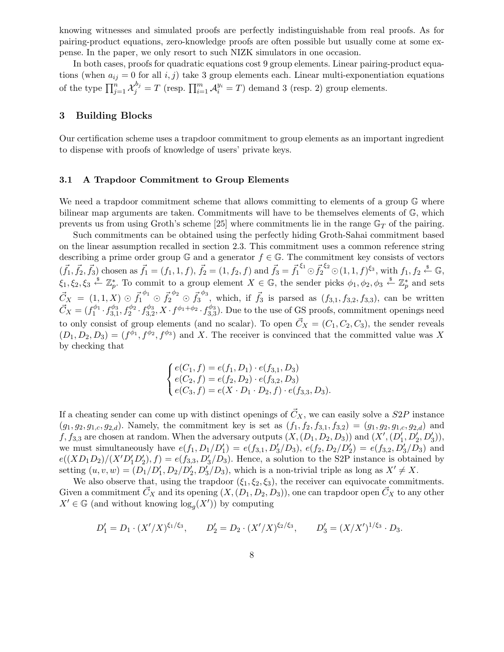knowing witnesses and simulated proofs are perfectly indistinguishable from real proofs. As for pairing-product equations, zero-knowledge proofs are often possible but usually come at some expense. In the paper, we only resort to such NIZK simulators in one occasion.

In both cases, proofs for quadratic equations cost 9 group elements. Linear pairing-product equations (when  $a_{ij} = 0$  for all  $i, j$ ) take 3 group elements each. Linear multi-exponentiation equations of the type  $\prod_{j=1}^n \mathcal{X}_j^{b_j} = T$  (resp.  $\prod_{i=1}^m \mathcal{A}_i^{y_i} = T$ ) demand 3 (resp. 2) group elements.

## 3 Building Blocks

Our certification scheme uses a trapdoor commitment to group elements as an important ingredient to dispense with proofs of knowledge of users' private keys.

#### 3.1 A Trapdoor Commitment to Group Elements

We need a trapdoor commitment scheme that allows committing to elements of a group  $\mathbb{G}$  where bilinear map arguments are taken. Commitments will have to be themselves elements of G, which prevents us from using Groth's scheme [25] where commitments lie in the range  $\mathbb{G}_T$  of the pairing.

Such commitments can be obtained using the perfectly hiding Groth-Sahai commitment based on the linear assumption recalled in section 2.3. This commitment uses a common reference string describing a prime order group  $\mathbb{G}$  and a generator  $f \in \mathbb{G}$ . The commitment key consists of vectors  $(\vec{f}_1, \vec{f}_2, \vec{f}_3)$  chosen as  $\vec{f}_1 = (f_1, 1, f), \vec{f}_2 = (1, f_2, f)$  and  $\vec{f}_3 = \vec{f}_1^{\xi_1} \odot \vec{f}_2^{\xi_2} \odot (1, 1, f)^{\xi_3}$ , with  $f_1, f_2 \stackrel{\$}{\leftarrow} \mathbb{G}$ ,  $\xi_1, \xi_2, \xi_3 \stackrel{\$}{\leftarrow} \mathbb{Z}_p^*$ . To commit to a group element  $X \in \mathbb{G}$ , the sender picks  $\phi_1, \phi_2, \phi_3 \stackrel{\$}{\leftarrow} \mathbb{Z}_p^*$  and sets  $\vec{C}_X = (1,1,X) \odot \vec{f}_1^{\phi_1} \odot \vec{f}_2^{\phi_2} \odot \vec{f}_3^{\phi_3}$ , which, if  $\vec{f}_3$  is parsed as  $(f_{3,1},f_{3,2},f_{3,3})$ , can be written  $\vec{C}_X = (f_1^{\phi_1})$  $\cdot f_{3,1}^{\phi_3}$  $f_{3,1}^{\phi_3}, f_{2}^{\phi_2} \cdot f_{3,2}^{\phi_3}$  $f_{3,2}^{\phi_3}, X\!\cdot\! f^{\phi_1+\phi_2}\!\cdot\! f_{3,3}^{\phi_3}$  $\frac{\varphi_3}{3,3}$ ). Due to the use of GS proofs, commitment openings need to only consist of group elements (and no scalar). To open  $\vec{C}_X = (C_1, C_2, C_3)$ , the sender reveals  $(D_1, D_2, D_3) = (f^{\phi_1}, f^{\phi_2}, f^{\phi_3})$  and X. The receiver is convinced that the committed value was X by checking that

$$
\begin{cases}\ne(C_1, f) = e(f_1, D_1) \cdot e(f_{3,1}, D_3) \\
e(C_2, f) = e(f_2, D_2) \cdot e(f_{3,2}, D_3) \\
e(C_3, f) = e(X \cdot D_1 \cdot D_2, f) \cdot e(f_{3,3}, D_3).\n\end{cases}
$$

If a cheating sender can come up with distinct openings of  $\vec{C}_X$ , we can easily solve a S2P instance  $(g_1,g_2,g_{1,c},g_{2,d})$ . Namely, the commitment key is set as  $(f_1,f_2,f_{3,1},f_{3,2}) = (g_1,g_2,g_{1,c},g_{2,d})$  and  $f, f_{3,3}$  are chosen at random. When the adversary outputs  $(X, (D_1, D_2, D_3))$  and  $(X', (D'_1, D'_2, D'_3))$ , we must simultaneously have  $e(f_1, D_1/D'_1) = e(f_{3,1}, D'_3/D_3), e(f_2, D_2/D'_2) = e(f_{3,2}, D'_3/D_3)$  and  $e((XD_1D_2)/(X'D'_1D'_2), f) = e(f_{3,3}, D'_3/D_3)$ . Hence, a solution to the S2P instance is obtained by setting  $(u, v, w) = (D_1/D_1', D_2/D_2', D_3'/D_3)$ , which is a non-trivial triple as long as  $X' \neq X$ .

We also observe that, using the trapdoor  $(\xi_1, \xi_2, \xi_3)$ , the receiver can equivocate commitments. Given a commitment  $\vec{C}_X$  and its opening  $(X,(D_1,D_2,D_3))$ , one can trapdoor open  $\vec{C}_X$  to any other  $X' \in \mathbb{G}$  (and without knowing  $\log_g(X')$ ) by computing

$$
D'_1 = D_1 \cdot (X'/X)^{\xi_1/\xi_3}, \qquad D'_2 = D_2 \cdot (X'/X)^{\xi_2/\xi_3}, \qquad D'_3 = (X/X')^{1/\xi_3} \cdot D_3.
$$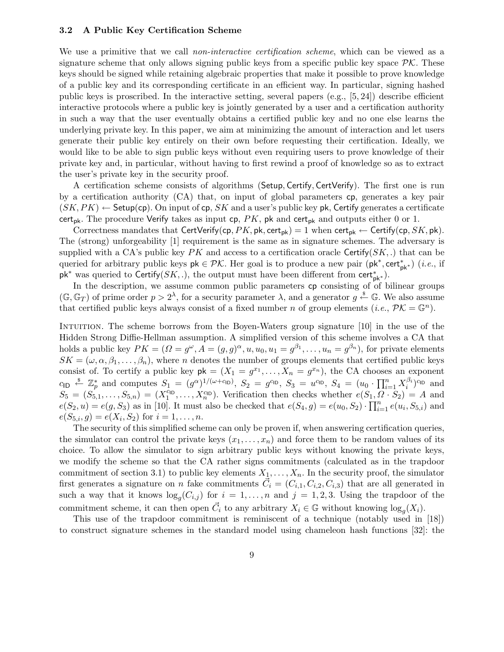#### 3.2 A Public Key Certification Scheme

We use a primitive that we call *non-interactive certification scheme*, which can be viewed as a signature scheme that only allows signing public keys from a specific public key space  $\mathcal{PK}$ . These keys should be signed while retaining algebraic properties that make it possible to prove knowledge of a public key and its corresponding certificate in an efficient way. In particular, signing hashed public keys is proscribed. In the interactive setting, several papers  $(e.g., [5, 24])$  describe efficient interactive protocols where a public key is jointly generated by a user and a certification authority in such a way that the user eventually obtains a certified public key and no one else learns the underlying private key. In this paper, we aim at minimizing the amount of interaction and let users generate their public key entirely on their own before requesting their certification. Ideally, we would like to be able to sign public keys without even requiring users to prove knowledge of their private key and, in particular, without having to first rewind a proof of knowledge so as to extract the user's private key in the security proof.

A certification scheme consists of algorithms (Setup, Certify, CertVerify). The first one is run by a certification authority (CA) that, on input of global parameters cp, generates a key pair  $(SK, PK) \leftarrow$  Setup(cp). On input of cp, SK and a user's public key pk, Certify generates a certificate cert<sub>pk</sub>. The procedure Verify takes as input cp,  $PK$ , pk and cert<sub>pk</sub> and outputs either 0 or 1.

Correctness mandates that CertVerify(cp,  $PK$ , pk, cert<sub>pk</sub>) = 1 when cert<sub>pk</sub> ← Certify(cp,  $SK$ , pk). The (strong) unforgeability [1] requirement is the same as in signature schemes. The adversary is supplied with a CA's public key  $PK$  and access to a certification oracle Certify( $SK$ ,.) that can be queried for arbitrary public keys  $pk \in \mathcal{PK}$ . Her goal is to produce a new pair  $(\mathsf{pk}^*, \mathsf{cert}_{\mathsf{pk}^*}^*)$  (*i.e.*, if pk<sup>\*</sup> was queried to Certify( $SK, .$ ), the output must have been different from cert<sub>pk</sub><sup>\*</sup>).

In the description, we assume common public parameters cp consisting of of bilinear groups  $(\mathbb{G}, \mathbb{G}_T)$  of prime order  $p > 2^{\lambda}$ , for a security parameter  $\lambda$ , and a generator  $g \stackrel{\$}{\leftarrow} \mathbb{G}$ . We also assume that certified public keys always consist of a fixed number n of group elements (*i.e.*,  $\mathcal{PK} = \mathbb{G}^n$ ).

INTUITION. The scheme borrows from the Boyen-Waters group signature [10] in the use of the Hidden Strong Diffie-Hellman assumption. A simplified version of this scheme involves a CA that holds a public key  $PK = (Q = g^{\omega}, A = (g, g)^{\alpha}, u, u_0, u_1 = g^{\beta_1}, \dots, u_n = g^{\beta_n})$ , for private elements  $SK = (\omega, \alpha, \beta_1, \dots, \beta_n)$ , where *n* denotes the number of groups elements that certified public keys consist of. To certify a public key  $pk = (X_1 = g^{x_1}, \ldots, X_n = g^{x_n})$ , the CA chooses an exponent  $c_{\mathsf{ID}} \stackrel{\$}{{\leftarrow}} \mathbb{Z}_p^*$  and computes  $S_1 = (g^{\alpha})^{1/(\omega + c_{\mathsf{ID}})}, S_2 = g^{c_{\mathsf{ID}}}, S_3 = u^{c_{\mathsf{ID}}}, S_4 = (u_0 \cdot \prod_{i=1}^n X_i^{\beta_i})$  $i^{(3i)}$ <sup>CID</sup> and  $S_5 = (S_{5,1}^{\mathcal{L}}, \ldots, S_{5,n}) = (X_1^{c_{\text{ID}}}, \ldots, X_n^{c_{\text{ID}}})$ . Verification then checks whether  $e(S_1, \Omega \cdot S_2) = A$  and  $e(S_2, u) = e(g, S_3)$  as in [10]. It must also be checked that  $e(S_4, g) = e(u_0, S_2) \cdot \prod_{i=1}^{n} e(u_i, S_{5,i})$  and  $e(S_{5,i}, g) = e(X_i, S_2)$  for  $i = 1, ..., n$ .

The security of this simplified scheme can only be proven if, when answering certification queries, the simulator can control the private keys  $(x_1, \ldots, x_n)$  and force them to be random values of its choice. To allow the simulator to sign arbitrary public keys without knowing the private keys, we modify the scheme so that the CA rather signs commitments (calculated as in the trapdoor commitment of section 3.1) to public key elements  $X_1, \ldots, X_n$ . In the security proof, the simulator first generates a signature on n fake commitments  $\vec{C}_i = (C_{i,1}, C_{i,2}, C_{i,3})$  that are all generated in such a way that it knows  $\log_{g}(C_{i,j})$  for  $i = 1, \ldots, n$  and  $j = 1, 2, 3$ . Using the trapdoor of the commitment scheme, it can then open  $\vec{C}_i$  to any arbitrary  $X_i \in \mathbb{G}$  without knowing  $\log_g(X_i)$ .

This use of the trapdoor commitment is reminiscent of a technique (notably used in [18]) to construct signature schemes in the standard model using chameleon hash functions [32]: the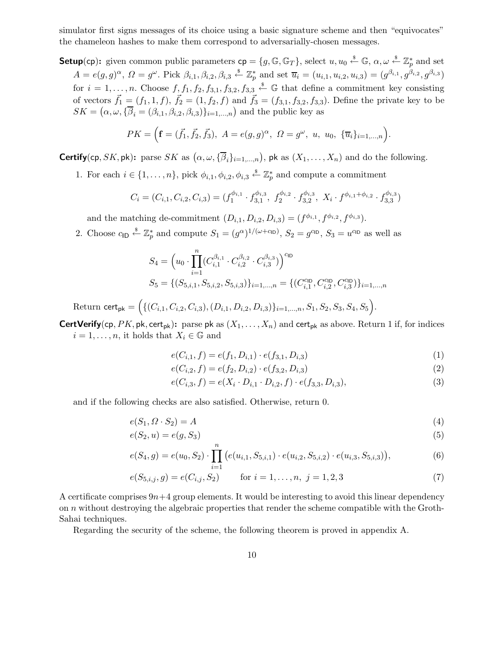simulator first signs messages of its choice using a basic signature scheme and then "equivocates" the chameleon hashes to make them correspond to adversarially-chosen messages.

**Setup**(cp): given common public parameters  $\mathsf{cp} = \{g, \mathbb{G}, \mathbb{G}_T\}$ , select  $u, u_0 \stackrel{\$}{\leftarrow} \mathbb{G}, \alpha, \omega \stackrel{\$}{\leftarrow} \mathbb{Z}_p^*$  and set  $A = e(g, g)^{\alpha}, \ \Omega = g^{\omega}$ . Pick  $\beta_{i,1}, \beta_{i,2}, \beta_{i,3} \stackrel{\$}{\leftarrow} \mathbb{Z}_p^*$  and set  $\overline{u}_i = (u_{i,1}, u_{i,2}, u_{i,3}) = (g^{\beta_{i,1}}, g^{\beta_{i,2}}, g^{\beta_{i,3}})$ for  $i = 1, \ldots, n$ . Choose  $f, f_1, f_2, f_{3,1}, f_{3,2}, f_{3,3} \stackrel{\$}{\leftarrow} \mathbb{G}$  that define a commitment key consisting of vectors  $\vec{f}_1 = (f_1, 1, f), \vec{f}_2 = (1, f_2, f)$  and  $\vec{f}_3 = (f_{3,1}, f_{3,2}, f_{3,3})$ . Define the private key to be  $SK = (\alpha, \omega, {\overline{\beta}}_i = (\beta_{i,1}, \beta_{i,2}, \beta_{i,3})\}_{i=1,\dots,n})$  and the public key as

$$
PK = (\mathbf{f} = (\vec{f}_1, \vec{f}_2, \vec{f}_3), \ A = e(g, g)^{\alpha}, \ \Omega = g^{\omega}, \ u, \ u_0, \ {\overline{u}_i}_{i=1,\dots,n}.
$$

**Certify**(cp, SK, pk): parse SK as  $(\alpha, \omega, {\{\overline{\beta}_i\}_{i=1,\dots,n}})$ , pk as  $(X_1, \dots, X_n)$  and do the following.

1. For each  $i \in \{1, \ldots, n\}$ , pick  $\phi_{i,1}, \phi_{i,2}, \phi_{i,3} \stackrel{\$}{\leftarrow} \mathbb{Z}_p^*$  and compute a commitment

$$
C_i = (C_{i,1}, C_{i,2}, C_{i,3}) = (f_1^{\phi_{i,1}} \cdot f_{3,1}^{\phi_{i,3}}, f_2^{\phi_{i,2}} \cdot f_{3,2}^{\phi_{i,3}}, X_i \cdot f_{3,1}^{\phi_{i,1} + \phi_{i,2}} \cdot f_{3,3}^{\phi_{i,3}})
$$

and the matching de-commitment  $(D_{i,1}, D_{i,2}, D_{i,3}) = (f^{\phi_{i,1}}, f^{\phi_{i,2}}, f^{\phi_{i,3}}).$ 

2. Choose  $c_{\text{ID}} \stackrel{\$}{\leftarrow} \mathbb{Z}_p^*$  and compute  $S_1 = (g^{\alpha})^{1/(\omega + c_{\text{ID}})}, S_2 = g^{c_{\text{ID}}}, S_3 = u^{c_{\text{ID}}}$  as well as

$$
S_4 = \left(u_0 \cdot \prod_{i=1}^n (C_{i,1}^{\beta_{i,1}} \cdot C_{i,2}^{\beta_{i,2}} \cdot C_{i,3}^{\beta_{i,3}})\right)^{c_{\text{ID}}}
$$
  

$$
S_5 = \left\{(S_{5,i,1}, S_{5,i,2}, S_{5,i,3})\right\}_{i=1,\dots,n} = \left\{(C_{i,1}^{c_{\text{ID}}}, C_{i,2}^{c_{\text{ID}}}, C_{i,3}^{c_{\text{ID}}})\right\}_{i=1,\dots,n}
$$

 $\text{Return cert}_{\textsf{pk}} = \Big(\{(C_{i,1}, C_{i,2}, C_{i,3}), (D_{i,1}, D_{i,2}, D_{i,3})\}_{i=1,...,n}, S_1, S_2, S_3, S_4, S_5\Big).$ 

**CertVerify**(cp, PK, pk, cert<sub>pk</sub>): parse pk as  $(X_1, \ldots, X_n)$  and cert<sub>pk</sub> as above. Return 1 if, for indices  $i = 1, \ldots, n$ , it holds that  $X_i \in \mathbb{G}$  and

$$
e(C_{i,1}, f) = e(f_1, D_{i,1}) \cdot e(f_{3,1}, D_{i,3}) \tag{1}
$$

$$
e(C_{i,2}, f) = e(f_2, D_{i,2}) \cdot e(f_{3,2}, D_{i,3})
$$
\n<sup>(2)</sup>

$$
e(C_{i,3}, f) = e(X_i \cdot D_{i,1} \cdot D_{i,2}, f) \cdot e(f_{3,3}, D_{i,3}),
$$
\n(3)

and if the following checks are also satisfied. Otherwise, return 0.

$$
e(S_1, \Omega \cdot S_2) = A \tag{4}
$$

$$
e(S_2, u) = e(g, S_3) \tag{5}
$$

$$
e(S_4, g) = e(u_0, S_2) \cdot \prod_{i=1}^n \left( e(u_{i,1}, S_{5,i,1}) \cdot e(u_{i,2}, S_{5,i,2}) \cdot e(u_{i,3}, S_{5,i,3}) \right),\tag{6}
$$

$$
e(S_{5,i,j}, g) = e(C_{i,j}, S_2) \qquad \text{for } i = 1, \dots, n, \ j = 1, 2, 3
$$
 (7)

A certificate comprises  $9n+4$  group elements. It would be interesting to avoid this linear dependency on  $n$  without destroying the algebraic properties that render the scheme compatible with the Groth-Sahai techniques.

Regarding the security of the scheme, the following theorem is proved in appendix A.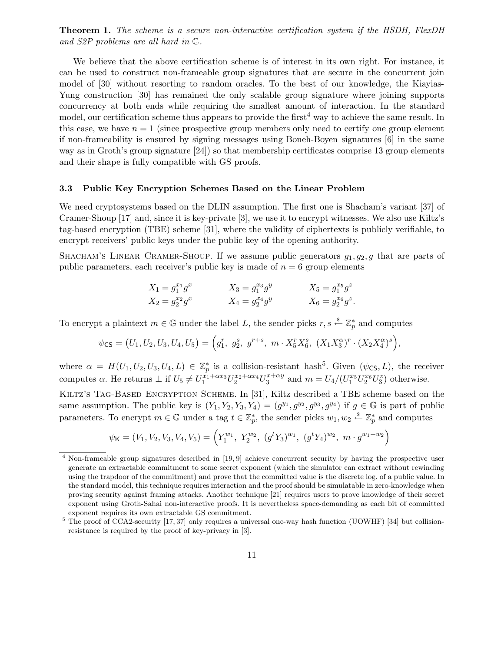Theorem 1. The scheme is a secure non-interactive certification system if the HSDH, FlexDH and S2P problems are all hard in G.

We believe that the above certification scheme is of interest in its own right. For instance, it can be used to construct non-frameable group signatures that are secure in the concurrent join model of [30] without resorting to random oracles. To the best of our knowledge, the Kiayias-Yung construction [30] has remained the only scalable group signature where joining supports concurrency at both ends while requiring the smallest amount of interaction. In the standard model, our certification scheme thus appears to provide the first<sup>4</sup> way to achieve the same result. In this case, we have  $n = 1$  (since prospective group members only need to certify one group element if non-frameability is ensured by signing messages using Boneh-Boyen signatures [6] in the same way as in Groth's group signature [24]) so that membership certificates comprise 13 group elements and their shape is fully compatible with GS proofs.

#### 3.3 Public Key Encryption Schemes Based on the Linear Problem

We need cryptosystems based on the DLIN assumption. The first one is Shacham's variant [37] of Cramer-Shoup [17] and, since it is key-private [3], we use it to encrypt witnesses. We also use Kiltz's tag-based encryption (TBE) scheme [31], where the validity of ciphertexts is publicly verifiable, to encrypt receivers' public keys under the public key of the opening authority.

SHACHAM'S LINEAR CRAMER-SHOUP. If we assume public generators  $g_1, g_2, g$  that are parts of public parameters, each receiver's public key is made of  $n = 6$  group elements

$$
X_1 = g_1^{x_1} g^x
$$
  
\n
$$
X_2 = g_2^{x_2} g^x
$$
  
\n
$$
X_3 = g_1^{x_3} g^y
$$
  
\n
$$
X_4 = g_2^{x_4} g^y
$$
  
\n
$$
X_5 = g_1^{x_5} g^z
$$
  
\n
$$
X_6 = g_2^{x_6} g^z.
$$

To encrypt a plaintext  $m \in \mathbb{G}$  under the label L, the sender picks  $r, s \stackrel{\$}{\leftarrow} \mathbb{Z}_p^*$  and computes

$$
\psi_{\mathsf{CS}} = (U_1, U_2, U_3, U_4, U_5) = \left(g_1^r, g_2^s, g^{r+s}, m \cdot X_5^r X_6^s, (X_1 X_3^{\alpha})^r \cdot (X_2 X_4^{\alpha})^s\right),
$$

where  $\alpha = H(U_1, U_2, U_3, U_4, L) \in \mathbb{Z}_p^*$  is a collision-resistant hash<sup>5</sup>. Given  $(\psi_{\mathsf{CS}}, L)$ , the receiver computes  $\alpha$ . He returns  $\perp$  if  $U_5 \neq U_1^{\tilde{x}_1 + \alpha x_3} U_2^{x_2 + \alpha x_4} U_3^{x + \alpha y}$  $x^{x+\alpha y}$  and  $m = U_4/(U_1^{x_5}U_2^{x_6}U_3^{z})$  otherwise.

Kiltz's Tag-Based Encryption Scheme. In [31], Kiltz described a TBE scheme based on the same assumption. The public key is  $(Y_1, Y_2, Y_3, Y_4) = (g^{y_1}, g^{y_2}, g^{y_3}, g^{y_4})$  if  $g \in \mathbb{G}$  is part of public parameters. To encrypt  $m \in \mathbb{G}$  under a tag  $t \in \mathbb{Z}_p^*$ , the sender picks  $w_1, w_2 \stackrel{\$}{\leftarrow} \mathbb{Z}_p^*$  and computes

$$
\psi_{\mathsf{K}} = (V_1, V_2, V_3, V_4, V_5) = \left( Y_1^{w_1}, Y_2^{w_2}, (g^t Y_3)^{w_1}, (g^t Y_4)^{w_2}, m \cdot g^{w_1 + w_2} \right)
$$

Non-frameable group signatures described in [19, 9] achieve concurrent security by having the prospective user generate an extractable commitment to some secret exponent (which the simulator can extract without rewinding using the trapdoor of the commitment) and prove that the committed value is the discrete log. of a public value. In the standard model, this technique requires interaction and the proof should be simulatable in zero-knowledge when proving security against framing attacks. Another technique [21] requires users to prove knowledge of their secret exponent using Groth-Sahai non-interactive proofs. It is nevertheless space-demanding as each bit of committed exponent requires its own extractable GS commitment.

 $5$  The proof of CCA2-security [17, 37] only requires a universal one-way hash function (UOWHF) [34] but collisionresistance is required by the proof of key-privacy in [3].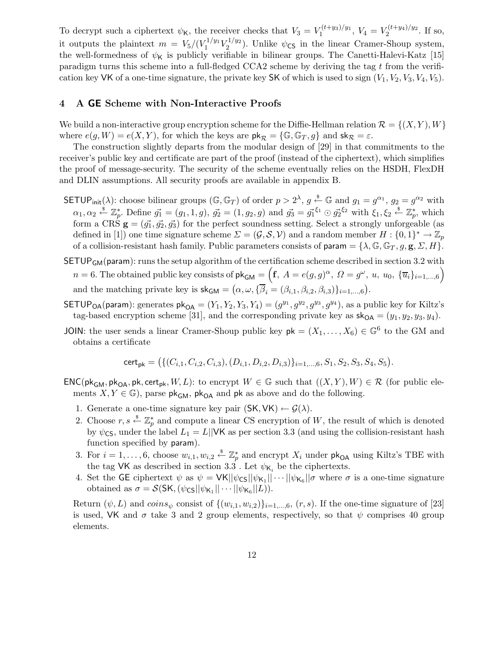To decrypt such a ciphertext  $\psi_{\mathsf{K}}$ , the receiver checks that  $V_3 = V_1^{(t+y_3)/y_1}$  $V_1^{(t+y_3)/y_1}, V_4 = V_2^{(t+y_4)/y_2}$  $2^{(t+y_4)/y_2}$ . If so, it outputs the plaintext  $m = V_5/(V_1^{1/y_1})$  $\frac{x^{1/y_1}V_2^{1/y_2}}{1}$  $\psi_2^{(1/y_2)}$ . Unlike  $\psi_{\text{CS}}$  in the linear Cramer-Shoup system, the well-formedness of  $\psi_{\mathsf{K}}$  is publicly verifiable in bilinear groups. The Canetti-Halevi-Katz [15] paradigm turns this scheme into a full-fledged  $\rm CCA2$  scheme by deriving the tag t from the verification key VK of a one-time signature, the private key SK of which is used to sign  $(V_1, V_2, V_3, V_4, V_5)$ .

## 4 A GE Scheme with Non-Interactive Proofs

We build a non-interactive group encryption scheme for the Diffie-Hellman relation  $\mathcal{R} = \{(X, Y), W\}$ where  $e(g, W) = e(X, Y)$ , for which the keys are  $\mathsf{pk}_{\mathcal{R}} = \{\mathbb{G}, \mathbb{G}_T, g\}$  and  $\mathsf{sk}_{\mathcal{R}} = \varepsilon$ .

The construction slightly departs from the modular design of [29] in that commitments to the receiver's public key and certificate are part of the proof (instead of the ciphertext), which simplifies the proof of message-security. The security of the scheme eventually relies on the HSDH, FlexDH and DLIN assumptions. All security proofs are available in appendix B.

- SETUP<sub>init</sub>( $\lambda$ ): choose bilinear groups ( $\mathbb{G}, \mathbb{G}_T$ ) of order  $p > 2^{\lambda}$ ,  $g \stackrel{\$}{\leftarrow} \mathbb{G}$  and  $g_1 = g^{\alpha_1}$ ,  $g_2 = g^{\alpha_2}$  with  $\alpha_1, \alpha_2 \stackrel{\$}{\leftarrow} \mathbb{Z}_p^*$ . Define  $\vec{g_1} = (g_1, 1, g), \ \vec{g_2} = (1, g_2, g)$  and  $\vec{g_3} = \vec{g_1}^{\xi_1} \odot \vec{g_2}^{\xi_2}$  with  $\xi_1, \xi_2 \stackrel{\$}{\leftarrow} \mathbb{Z}_p^*$ , which form a CRS  $\mathbf{g} = (\vec{g_1}, \vec{g_2}, \vec{g_3})$  for the perfect soundness setting. Select a strongly unforgeable (as defined in [1]) one time signature scheme  $\Sigma = (\mathcal{G}, \mathcal{S}, \mathcal{V})$  and a random member  $H: \{0,1\}^* \to \mathbb{Z}_p$ of a collision-resistant hash family. Public parameters consists of param =  $\{\lambda, \mathbb{G}_T, g, \mathbf{g}, \Sigma, H\}$ .
- SETUP<sub>GM</sub>(param): runs the setup algorithm of the certification scheme described in section 3.2 with  $n=6.$  The obtained public key consists of  $\mathsf{pk}_{\mathsf{GM}} = \left(\mathbf{f},\ A = e(g,g)^{\alpha},\ \Omega = g^{\omega},\ u,\ u_0,\ \{\overline{u}_i\}_{i=1,...,6}\right)$ and the matching private key is  $\mathsf{sk}_{\mathsf{GM}} = (\alpha, \omega, {\overline{\beta_i}} = (\beta_{i,1}, \beta_{i,2}, \beta_{i,3})_{i=1,\dots,6}).$
- SETUP<sub>OA</sub>(param): generates  $pk_{OA} = (Y_1, Y_2, Y_3, Y_4) = (g^{y_1}, g^{y_2}, g^{y_3}, g^{y_4})$ , as a public key for Kiltz's tag-based encryption scheme [31], and the corresponding private key as  $sk_{OA} = (y_1, y_2, y_3, y_4)$ .
- JOIN: the user sends a linear Cramer-Shoup public key  $pk = (X_1, \ldots, X_6) \in \mathbb{G}^6$  to the GM and obtains a certificate

$$
\mathsf{cert}_{\mathsf{pk}} = \big(\{(C_{i,1}, C_{i,2}, C_{i,3}), (D_{i,1}, D_{i,2}, D_{i,3})\}_{i=1,\dots,6}, S_1, S_2, S_3, S_4, S_5\big).
$$

 $ENC(\mathsf{pk}_{GM}, \mathsf{pk}_{OA}, \mathsf{pk}, \mathsf{cert}_{\mathsf{pk}}, W, L)$ : to encrypt  $W \in \mathbb{G}$  such that  $((X, Y), W) \in \mathcal{R}$  (for public elements  $X, Y \in \mathbb{G}$ , parse  $\mathsf{pk}_{\mathsf{GM}}$ ,  $\mathsf{pk}_{\mathsf{OA}}$  and  $\mathsf{pk}$  as above and do the following.

- 1. Generate a one-time signature key pair  $(SK, VK) \leftarrow \mathcal{G}(\lambda)$ .
- 2. Choose  $r, s \stackrel{\$}{\leftarrow} \mathbb{Z}_p^*$  and compute a linear CS encryption of W, the result of which is denoted by  $\psi_{\text{CS}}$ , under the label  $L_1 = L||\text{VK}$  as per section 3.3 (and using the collision-resistant hash function specified by param).
- 3. For  $i = 1, \ldots, 6$ , choose  $w_{i,1}, w_{i,2} \stackrel{\hspace{0.1em}\mathsf{\scriptscriptstyle\$}}{\leftarrow} \mathbb{Z}_p^*$  and encrypt  $X_i$  under  $\mathsf{pk}_{\mathsf{OA}}$  using Kiltz's TBE with the tag VK as described in section 3.3. Let  $\psi_{\mathsf{K}_i}$  be the ciphertexts.
- 4. Set the GE ciphertext  $\psi$  as  $\psi = \mathsf{VK} ||\psi_{\mathsf{CS}}||\psi_{\mathsf{K}_1}|| \cdots ||\psi_{\mathsf{K}_6}||\sigma$  where  $\sigma$  is a one-time signature obtained as  $\sigma = \mathcal{S}(\mathsf{SK}, (\psi \mathsf{cs} || \psi \mathsf{K}_1 || \cdots || \psi \mathsf{K}_6 || L)).$

Return  $(\psi, L)$  and  $\text{cons}_{\psi}$  consist of  $\{(w_{i,1}, w_{i,2})\}_{i=1,\dots,6}$ ,  $(r, s)$ . If the one-time signature of [23] is used, VK and  $\sigma$  take 3 and 2 group elements, respectively, so that  $\psi$  comprises 40 group elements.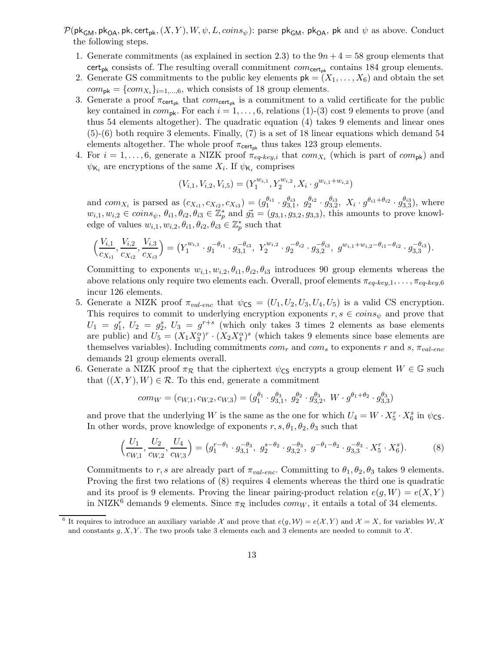- $P(\mathsf{pk}_{GM}, \mathsf{pk}_{OA}, \mathsf{pk}, \mathsf{cert}_{\mathsf{pk}},(X, Y), W, \psi, L, coins_{\psi})$ : parse  $\mathsf{pk}_{GM}, \mathsf{pk}_{OA}, \mathsf{pk}$  and  $\psi$  as above. Conduct the following steps.
	- 1. Generate commitments (as explained in section 2.3) to the  $9n + 4 = 58$  group elements that cert<sub>pk</sub> consists of. The resulting overall commitment  $com_{\text{cert}_{\text{pk}}}$  contains 184 group elements.
	- 2. Generate GS commitments to the public key elements  $pk = (X_1, \ldots, X_6)$  and obtain the set  $com_{\mathsf{pk}} = \{com_{X_i}\}_{i=1,\dots,6}$ , which consists of 18 group elements.
	- 3. Generate a proof  $\pi_{\text{cert}_{\text{ok}}}$  that  $com_{\text{cert}_{\text{ok}}}$  is a commitment to a valid certificate for the public key contained in  $com_{\mathsf{pk}}$ . For each  $i = 1, \ldots, 6$ , relations (1)-(3) cost 9 elements to prove (and thus 54 elements altogether). The quadratic equation (4) takes 9 elements and linear ones (5)-(6) both require 3 elements. Finally, (7) is a set of 18 linear equations which demand 54 elements altogether. The whole proof  $\pi_{\text{cert}_{\text{ok}}}$  thus takes 123 group elements.
	- 4. For  $i = 1, \ldots, 6$ , generate a NIZK proof  $\pi_{eq\text{-}key,i}$  that  $com_{X_i}$  (which is part of  $com_{\mathsf{pk}}$ ) and  $\psi_{\mathsf{K}_i}$  are encryptions of the same  $X_i$ . If  $\psi_{\mathsf{K}_i}$  comprises

$$
(V_{i,1}, V_{i,2}, V_{i,5}) = (Y_1^{w_{i,1}}, Y_2^{w_{i,2}}, X_i \cdot g^{w_{i,1} + w_{i,2}})
$$

and  $com_{X_i}$  is parsed as  $(c_{X_{i1}}, c_{X_{i2}}, c_{X_{i3}}) = (g_1^{\theta_{i1}} \cdot g_{3,1}^{\theta_{i3}}, g_2^{\theta_{i2}} \cdot g_{3,2}^{\theta_{i3}}, X_i \cdot g_{1}^{\theta_{i1} + \theta_{i2}} \cdot g_{3,3}^{\theta_{i3}})$ , where  $w_{i,1}, w_{i,2} \in coins_{\psi}, \theta_{i1}, \theta_{i2}, \theta_{i3} \in \mathbb{Z}_p^*$  and  $\vec{g_3} = (g_{3,1}, g_{3,2}, g_{3,3}),$  this amounts to prove knowledge of values  $w_{i,1}, w_{i,2}, \theta_{i1}, \theta_{i2}, \theta_{i3} \in \mathbb{Z}_p^*$  such that

$$
\left(\frac{V_{i,1}}{c_{X_{i1}}}, \frac{V_{i,2}}{c_{X_{i2}}}, \frac{V_{i,3}}{c_{X_{i3}}}\right) = \left(Y_1^{w_{i,1}} \cdot g_1^{-\theta_{i1}} \cdot g_{3,1}^{-\theta_{i3}}, Y_2^{w_{i,2}} \cdot g_2^{-\theta_{i2}} \cdot g_{3,2}^{-\theta_{i3}}, g^{w_{i,1}+w_{i,2}-\theta_{i1}-\theta_{i2}} \cdot g_{3,3}^{-\theta_{i3}}\right).
$$

Committing to exponents  $w_{i,1}, w_{i,2}, \theta_{i1}, \theta_{i2}, \theta_{i3}$  introduces 90 group elements whereas the above relations only require two elements each. Overall, proof elements  $\pi_{ea-kev,1},\ldots,\pi_{ea-kev,6}$ incur 126 elements.

- 5. Generate a NIZK proof  $\pi_{val\text{-}enc}$  that  $\psi_{\text{CS}} = (U_1, U_2, U_3, U_4, U_5)$  is a valid CS encryption. This requires to commit to underlying encryption exponents  $r, s \in coins_{\psi}$  and prove that  $U_1 = g_1^r$ ,  $U_2 = g_2^s$ ,  $U_3 = g^{r+s}$  (which only takes 3 times 2 elements as base elements are public) and  $U_5 = (X_1 X_3^{\alpha})^r \cdot (X_2 X_4^{\alpha})^s$  (which takes 9 elements since base elements are themselves variables). Including commitments  $com_r$  and  $com_s$  to exponents r and s,  $\pi_{val-enc}$ demands 21 group elements overall.
- 6. Generate a NIZK proof  $\pi_R$  that the ciphertext  $\psi_{\mathsf{CS}}$  encrypts a group element  $W \in \mathbb{G}$  such that  $((X, Y), W) \in \mathcal{R}$ . To this end, generate a commitment

$$
com_W = (c_{W,1}, c_{W,2}, c_{W,3}) = (g_1^{\theta_1} \cdot g_{3,1}^{\theta_3}, g_2^{\theta_2} \cdot g_{3,2}^{\theta_3}, W \cdot g_{1}^{\theta_1 + \theta_2} \cdot g_{3,3}^{\theta_3})
$$

and prove that the underlying W is the same as the one for which  $U_4 = W \cdot X_5^r \cdot X_6^s$  in  $\psi_{\text{CS}}$ . In other words, prove knowledge of exponents  $r, s, \theta_1, \theta_2, \theta_3$  such that

$$
\left(\frac{U_1}{c_{W,1}}, \frac{U_2}{c_{W,2}}, \frac{U_4}{c_{W,3}}\right) = \left(g_1^{r-\theta_1} \cdot g_{3,1}^{-\theta_3}, g_2^{s-\theta_2} \cdot g_{3,2}^{-\theta_3}, g^{-\theta_1-\theta_2} \cdot g_{3,3}^{-\theta_3} \cdot X_5^r \cdot X_6^s\right). \tag{8}
$$

Commitments to r, s are already part of  $\pi_{val\text{-}enc}$ . Committing to  $\theta_1, \theta_2, \theta_3$  takes 9 elements. Proving the first two relations of (8) requires 4 elements whereas the third one is quadratic and its proof is 9 elements. Proving the linear pairing-product relation  $e(g, W) = e(X, Y)$ in NIZK<sup>6</sup> demands 9 elements. Since  $\pi_R$  includes  $com_W$ , it entails a total of 34 elements.

<sup>&</sup>lt;sup>6</sup> It requires to introduce an auxiliary variable X and prove that  $e(g, W) = e(X, Y)$  and  $X = X$ , for variables  $W, X$ and constants g, X, Y. The two proofs take 3 elements each and 3 elements are needed to commit to  $\mathcal{X}$ .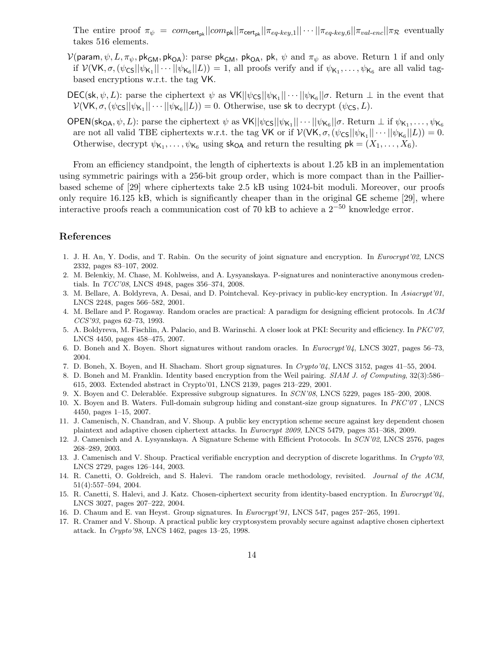The entire proof  $\pi_{\psi} = com_{\text{cert}_{\text{ok}}} ||com_{\text{pk}} || \pi_{\text{cert}_{\text{bk}}} || \pi_{eq\text{-}key,1} || \cdots || \pi_{eq\text{-}key,6} || \pi_{val\text{-}enc} || \pi_{\mathcal{R}}$  eventually takes 516 elements.

- V(param,  $\psi, L, \pi_\psi, \mathsf{pk}_{\mathsf{GM}}, \mathsf{pk}_{\mathsf{OA}})$ : parse  $\mathsf{pk}_{\mathsf{GM}}, \mathsf{pk}_{\mathsf{OA}}, \mathsf{pk}, \psi$  and  $\pi_\psi$  as above. Return 1 if and only if  $V(\mathsf{VK}, \sigma, (\psi_{\mathsf{CS}} || \psi_{\mathsf{K}_1} || \cdots || \psi_{\mathsf{K}_6} || L)) = 1$ , all proofs verify and if  $\psi_{\mathsf{K}_1}, \ldots, \psi_{\mathsf{K}_6}$  are all valid tagbased encryptions w.r.t. the tag VK.
- DEC(sk,  $\psi$ , L): parse the ciphertext  $\psi$  as  $VK ||\psi_{CS}||\psi_{K_1}|| \cdots ||\psi_{K_6}||\sigma$ . Return  $\perp$  in the event that  $\mathcal{V}(\mathsf{VK}, \sigma, (\psi \mathsf{cs} || \psi \mathsf{K}_1 || \cdots || \psi \mathsf{K}_6 || L)) = 0.$  Otherwise, use sk to decrypt  $(\psi \mathsf{cs}, L)$ .
- **OPEN**(sk<sub>OA</sub>,  $\psi$ , L): parse the ciphertext  $\psi$  as  $VK||\psi_{CS}||\psi_{K_1}||\cdots||\psi_{K_6}||\sigma$ . Return  $\perp$  if  $\psi_{K_1},\ldots,\psi_{K_6}$ are not all valid TBE ciphertexts w.r.t. the tag VK or if  $V(VK, \sigma, (\psi_{\text{CS}} || \psi_{K_1} || \cdots || \psi_{K_6} || L)) = 0$ . Otherwise, decrypt  $\psi_{\mathsf{K}_1}, \ldots, \psi_{\mathsf{K}_6}$  using  $\mathsf{sk}_{\mathsf{OA}}$  and return the resulting  $\mathsf{pk} = (X_1, \ldots, X_6)$ .

From an efficiency standpoint, the length of ciphertexts is about 1.25 kB in an implementation using symmetric pairings with a 256-bit group order, which is more compact than in the Paillierbased scheme of [29] where ciphertexts take 2.5 kB using 1024-bit moduli. Moreover, our proofs only require 16.125 kB, which is significantly cheaper than in the original GE scheme [29], where interactive proofs reach a communication cost of 70 kB to achieve a  $2^{-50}$  knowledge error.

## References

- 1. J. H. An, Y. Dodis, and T. Rabin. On the security of joint signature and encryption. In Eurocrypt'02, LNCS 2332, pages 83–107, 2002.
- 2. M. Belenkiy, M. Chase, M. Kohlweiss, and A. Lysyanskaya. P-signatures and noninteractive anonymous credentials. In TCC'08, LNCS 4948, pages 356–374, 2008.
- 3. M. Bellare, A. Boldyreva, A. Desai, and D. Pointcheval. Key-privacy in public-key encryption. In Asiacrypt'01, LNCS 2248, pages 566–582, 2001.
- 4. M. Bellare and P. Rogaway. Random oracles are practical: A paradigm for designing efficient protocols. In ACM CCS'93, pages 62–73, 1993.
- 5. A. Boldyreva, M. Fischlin, A. Palacio, and B. Warinschi. A closer look at PKI: Security and efficiency. In PKC'07, LNCS 4450, pages 458–475, 2007.
- 6. D. Boneh and X. Boyen. Short signatures without random oracles. In Eurocrypt'04, LNCS 3027, pages 56–73, 2004.
- 7. D. Boneh, X. Boyen, and H. Shacham. Short group signatures. In Crypto'04, LNCS 3152, pages 41–55, 2004.
- 8. D. Boneh and M. Franklin. Identity based encryption from the Weil pairing. SIAM J. of Computing, 32(3):586– 615, 2003. Extended abstract in Crypto'01, LNCS 2139, pages 213–229, 2001.
- 9. X. Boyen and C. Delerablée. Expressive subgroup signatures. In  $SCN'08$ , LNCS 5229, pages 185–200, 2008.
- 10. X. Boyen and B. Waters. Full-domain subgroup hiding and constant-size group signatures. In PKC'07 , LNCS 4450, pages 1–15, 2007.
- 11. J. Camenisch, N. Chandran, and V. Shoup. A public key encryption scheme secure against key dependent chosen plaintext and adaptive chosen ciphertext attacks. In Eurocrypt 2009, LNCS 5479, pages 351–368, 2009.
- 12. J. Camenisch and A. Lysyanskaya. A Signature Scheme with Efficient Protocols. In SCN'02, LNCS 2576, pages 268–289, 2003.
- 13. J. Camenisch and V. Shoup. Practical verifiable encryption and decryption of discrete logarithms. In Crypto'03, LNCS 2729, pages 126–144, 2003.
- 14. R. Canetti, O. Goldreich, and S. Halevi. The random oracle methodology, revisited. Journal of the ACM, 51(4):557–594, 2004.
- 15. R. Canetti, S. Halevi, and J. Katz. Chosen-ciphertext security from identity-based encryption. In Eurocrypt'04, LNCS 3027, pages 207–222, 2004.
- 16. D. Chaum and E. van Heyst. Group signatures. In Eurocrypt'91, LNCS 547, pages 257–265, 1991.
- 17. R. Cramer and V. Shoup. A practical public key cryptosystem provably secure against adaptive chosen ciphertext attack. In Crypto'98, LNCS 1462, pages 13–25, 1998.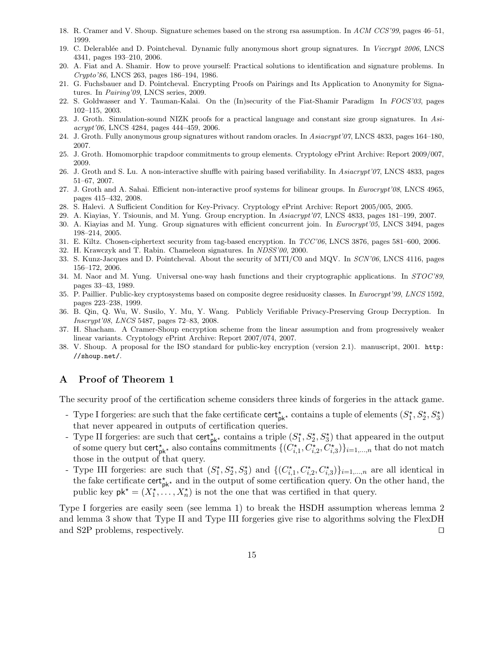- 18. R. Cramer and V. Shoup. Signature schemes based on the strong rsa assumption. In ACM CCS'99, pages 46–51, 1999.
- 19. C. Delerabl´ee and D. Pointcheval. Dynamic fully anonymous short group signatures. In Viecrypt 2006, LNCS 4341, pages 193–210, 2006.
- 20. A. Fiat and A. Shamir. How to prove yourself: Practical solutions to identification and signature problems. In Crypto'86, LNCS 263, pages 186–194, 1986.
- 21. G. Fuchsbauer and D. Pointcheval. Encrypting Proofs on Pairings and Its Application to Anonymity for Signatures. In Pairing'09, LNCS series, 2009.
- 22. S. Goldwasser and Y. Tauman-Kalai. On the (In)security of the Fiat-Shamir Paradigm In FOCS'03, pages 102–115, 2003.
- 23. J. Groth. Simulation-sound NIZK proofs for a practical language and constant size group signatures. In Asiacrypt'06, LNCS 4284, pages 444–459, 2006.
- 24. J. Groth. Fully anonymous group signatures without random oracles. In Asiacrypt'07, LNCS 4833, pages 164–180, 2007.
- 25. J. Groth. Homomorphic trapdoor commitments to group elements. Cryptology ePrint Archive: Report 2009/007, 2009.
- 26. J. Groth and S. Lu. A non-interactive shuffle with pairing based verifiability. In Asiacrypt'07, LNCS 4833, pages 51–67, 2007.
- 27. J. Groth and A. Sahai. Efficient non-interactive proof systems for bilinear groups. In Eurocrypt'08, LNCS 4965, pages 415–432, 2008.
- 28. S. Halevi. A Sufficient Condition for Key-Privacy. Cryptology ePrint Archive: Report 2005/005, 2005.
- 29. A. Kiayias, Y. Tsiounis, and M. Yung. Group encryption. In Asiacrypt'07, LNCS 4833, pages 181–199, 2007.
- 30. A. Kiayias and M. Yung. Group signatures with efficient concurrent join. In Eurocrypt'05, LNCS 3494, pages 198–214, 2005.
- 31. E. Kiltz. Chosen-ciphertext security from tag-based encryption. In TCC'06, LNCS 3876, pages 581–600, 2006.
- 32. H. Krawczyk and T. Rabin. Chameleon signatures. In NDSS'00, 2000.
- 33. S. Kunz-Jacques and D. Pointcheval. About the security of MTI/C0 and MQV. In SCN'06, LNCS 4116, pages 156–172, 2006.
- 34. M. Naor and M. Yung. Universal one-way hash functions and their cryptographic applications. In STOC'89, pages 33–43, 1989.
- 35. P. Paillier. Public-key cryptosystems based on composite degree residuosity classes. In Eurocrypt'99, LNCS 1592, pages 223–238, 1999.
- 36. B. Qin, Q. Wu, W. Susilo, Y. Mu, Y. Wang. Publicly Verifiable Privacy-Preserving Group Decryption. In Inscrypt'08, LNCS 5487, pages 72–83, 2008.
- 37. H. Shacham. A Cramer-Shoup encryption scheme from the linear assumption and from progressively weaker linear variants. Cryptology ePrint Archive: Report 2007/074, 2007.
- 38. V. Shoup. A proposal for the ISO standard for public-key encryption (version 2.1). manuscript, 2001. http: //shoup.net/.

## A Proof of Theorem 1

The security proof of the certification scheme considers three kinds of forgeries in the attack game.

- Type I forgeries: are such that the fake certificate cert<sub>pk</sub><sup>\*</sup> contains a tuple of elements  $(S_1^*, S_2^*, S_3^*)$ that never appeared in outputs of certification queries.
- Type II forgeries: are such that  $\text{cert}_{pk^*}^*$  contains a triple  $(S_1^*, S_2^*, S_3^*)$  that appeared in the output of some query but  $\text{cert}^{\star}_{\text{pk}^{\star}}$  also contains commitments  $\{(C^{\star}_{i,1}, C^{\star}_{i,2}, C^{\star}_{i,3})\}_{i=1,\dots,n}$  that do not match those in the output of that query.
- Type III forgeries: are such that  $(S_1^*, S_2^*, S_3^*)$  and  $\{(C_{i,1}^*, C_{i,2}^*, C_{i,3}^*)\}_{i=1,\dots,n}$  are all identical in the fake certificate  $cert_{pk^*}^*$  and in the output of some certification query. On the other hand, the public key  $\mathsf{pk}^* = (X_1^*, \ldots, X_n^*)$  is not the one that was certified in that query.

Type I forgeries are easily seen (see lemma 1) to break the HSDH assumption whereas lemma 2 and lemma 3 show that Type II and Type III forgeries give rise to algorithms solving the FlexDH and S2P problems, respectively. ⊓⊔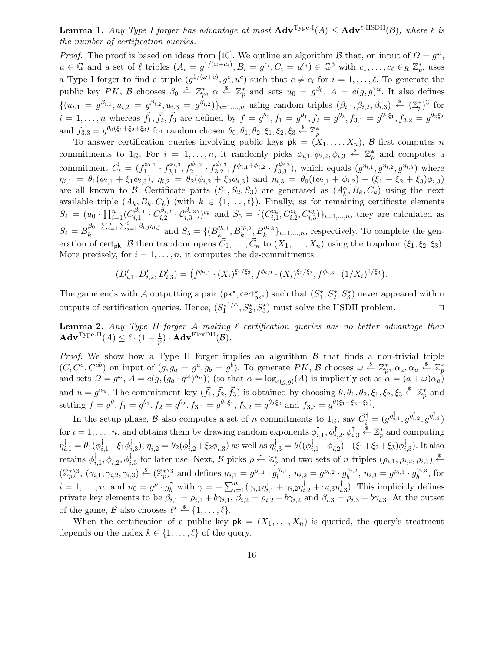**Lemma 1.** Any Type I forger has advantage at most  $\mathbf{Adv}^{\text{Type-I}}(A) \leq \mathbf{Adv}^{\ell\text{-HSDH}}(\mathcal{B})$ , where  $\ell$  is the number of certification queries.

*Proof.* The proof is based on ideas from [10]. We outline an algorithm B that, on input of  $\Omega = g^{\omega}$ ,  $u \in \mathbb{G}$  and a set of  $\ell$  triples  $(A_i = g^{1/(\omega + c_i)}, B_i = g^{c_i}, C_i = u^{c_i}) \in \mathbb{G}^3$  with  $c_1, \ldots, c_\ell \in_R \mathbb{Z}_p^*$ , uses a Type I forger to find a triple  $(g^{1/(\omega+c)}, g^c, u^c)$  such that  $c \neq c_i$  for  $i = 1, \ldots, \ell$ . To generate the public key PK, B chooses  $\beta_0 \stackrel{\hspace{0.1em}\mathsf{\scriptscriptstyle\$}}{\leftarrow} \mathbb{Z}_p^*$ ,  $\alpha \stackrel{\hspace{0.1em}\mathsf{\scriptscriptstyle\$}}{\leftarrow} \mathbb{Z}_p^*$  and sets  $u_0 = g^{\beta_0}$ ,  $A = e(g, g)^{\alpha}$ . It also defines  $\{(u_{i,1} = g^{\beta_{i,1}}, u_{i,2} = g^{\beta_{i,2}}, u_{i,3} = g^{\beta_{i,2}})\}_{i=1,\dots,n}$  using random triples  $(\beta_{i,1}, \beta_{i,2}, \beta_{i,3}) \stackrel{\text{s}}{\leftarrow} (\mathbb{Z}_p^*)^3$  for  $i = 1, \ldots, n$  whereas  $\vec{f}_1, \vec{f}_2, \vec{f}_3$  are defined by  $f = g^{\theta_0}, f_1 = g^{\theta_1}, f_2 = g^{\theta_2}, f_{3,1} = g^{\theta_1 \xi_1}, f_{3,2} = g^{\theta_2 \xi_2}$ and  $f_{3,3} = g^{\theta_0(\xi_1 + \xi_2 + \xi_3)}$  for random chosen  $\theta_0, \theta_1, \theta_2, \xi_1, \xi_2, \xi_3 \stackrel{\$}{\leftarrow} \mathbb{Z}_p^*$ .

To answer certification queries involving public keys  $pk = (X_1, \ldots, X_n)$ , B first computes n commitments to  $1\text{C}$ . For  $i = 1, \ldots, n$ , it randomly picks  $\phi_{i,1}, \phi_{i,2}, \phi_{i,3} \stackrel{\$}{\leftarrow} \mathbb{Z}_p^*$  and computes a commitment  $\vec{C}_i = (f_1^{\phi_{i,1}})$  $f_{3,1}^{\phi_{i,1}}\cdot f_{3,1}^{\phi_{i,3}}$  $f_{3,1}^{\phi_{i,3}}, f_{2}^{\phi_{i,2}} \cdot f_{3,2}^{\phi_{i,3}}$  $\hat{\phi}_{i,3}_{3,2}, f^{\phi_{i,1}+\phi_{i,2}} \cdot f^{\phi_{i,3}}_{3,3}$  $(3,3^{n_{i,3}}),$  which equals  $(g^{n_{i,1}}, g^{n_{i,2}}, g^{n_{i,3}})$  where  $\eta_{i,1} = \theta_1(\phi_{i,1} + \xi_1 \phi_{i,3}), \eta_{i,2} = \theta_2(\phi_{i,2} + \xi_2 \phi_{i,3})$  and  $\eta_{i,3} = \theta_0((\phi_{i,1} + \phi_{i,2}) + (\xi_1 + \xi_2 + \xi_3)\phi_{i,3})$ are all known to B. Certificate parts  $(S_1, S_2, S_3)$  are generated as  $(A_k^{\alpha}, B_k, C_k)$  using the next available triple  $(A_k, B_k, C_k)$  (with  $k \in \{1, \ldots, \ell\}$ ). Finally, as for remaining certificate elements  $S_4 = (u_0 \cdot \prod_{i=1}^n (C_{i,1}^{\beta_{i,1}}$  $\iota_{i,1}^{\beta_{i,1}}\cdot C_{i,2}^{\beta_{i,2}}$  $i_{i,2}^{(\beta_{i,2}} \cdot C_{i,3}^{(\beta_{i,3})})^{c_k}$  and  $S_5 = \{(C_{i,1}^{c_k}, C_{i,2}^{c_k}, C_{i,3}^{c_k})\}_{i=1,\dots,n}$ , they are calculated as  $S_4 = B_k^{\beta_0 + \sum_{i=1}^n \sum_{j=1}^3 \beta_{i,j} \eta_{i,j}}$  $S_b^{0+\sum_{i=1}^n\sum_{j=1}^n\beta_{i,j}\eta_{i,j}}$  and  $S_5 = \{(B_k^{\eta_{i,1}})\}$  $\{B_k^{\eta_{i,1}}, B_k^{\eta_{i,3}}, B_k^{\eta_{i,3}}\}_{i=1,\ldots,n}$ , respectively. To complete the generation of cert<sub>pk</sub>, B then trapdoor opens  $\vec{C}_1,\ldots,\vec{C}_n$  to  $(X_1,\ldots,X_n)$  using the trapdoor  $(\xi_1,\xi_2,\xi_3)$ . More precisely, for  $i = 1, \ldots, n$ , it computes the de-commitments

$$
(D'_{i,1}, D'_{i,2}, D'_{i,3}) = (f^{\phi_{i,1}} \cdot (X_i)^{\xi_1/\xi_3}, f^{\phi_{i,2}} \cdot (X_i)^{\xi_2/\xi_3}, f^{\phi_{i,3}} \cdot (1/X_i)^{1/\xi_3}).
$$

The game ends with A outputting a pair  $(\mathsf{pk}^{\star}, \mathsf{cert}^{\star}_{\mathsf{pk}^{\star}})$  such that  $(S_1^{\star}, S_2^{\star}, S_3^{\star})$  never appeared within outputs of certification queries. Hence,  $(S_1^{\star 1/\alpha}, S_2^{\star}, S_3^{\star})$  must solve the HSDH problem.  $\Box$ 

**Lemma 2.** Any Type II forger A making  $\ell$  certification queries has no better advantage than  $\mathbf{Adv}^{\mathrm{Type-II}}(A) \leq \ell \cdot (1 - \frac{1}{n})$  $\frac{1}{p})\cdot\mathbf{Adv}^{\mathrm{FlexDH}}(\mathcal{B}).$ 

*Proof.* We show how a Type II forger implies an algorithm  $\beta$  that finds a non-trivial triple  $(C, C^a, C^{ab})$  on input of  $(g, g_a = g^a, g_b = g^b)$ . To generate PK, B chooses  $\omega \stackrel{\$}{\leftarrow} \mathbb{Z}_p^*, \alpha_a, \alpha_u \stackrel{\$}{\leftarrow} \mathbb{Z}_p^*$ and sets  $\Omega = g^{\omega}$ ,  $A = e(g, (g_a \cdot g^{\omega})^{\alpha_a})$  (so that  $\alpha = \log_{e(g,g)}(A)$  is implicitly set as  $\alpha = (a + \omega)\alpha_a$ ) and  $u = g^{\alpha_u}$ . The commitment key  $(\vec{f}_1, \vec{f}_2, \vec{f}_3)$  is obtained by choosing  $\theta, \theta_1, \theta_2, \xi_1, \xi_2, \xi_3 \stackrel{\$}{\leftarrow} \mathbb{Z}_p^*$  and setting  $f = g^{\theta}$ ,  $f_1 = g^{\theta_1}$ ,  $f_2 = g^{\theta_2}$ ,  $f_{3,1} = g^{\theta_1\xi_1}$ ,  $f_{3,2} = g^{\theta_2\xi_2}$  and  $f_{3,3} = g^{\theta(\xi_1 + \xi_2 + \xi_3)}$ .

In the setup phase,  $\mathcal B$  also computes a set of n commitments to  $1_{\mathbb G}$ , say  $\vec{C}_i^{\dagger} = (g^{\eta_{i,1}^{\dagger}}, g^{\eta_{i,2}^{\dagger}}, g^{\eta_{i,3}^{\dagger}})$ for  $i = 1, \ldots, n$ , and obtains them by drawing random exponents  $\phi_i^{\dagger}$  $\phi^\dagger_{i,1}, \phi^\dagger_{i,2}, \phi^\dagger_{i,3} \overset{\hspace{0.1em}\mathsf{\scriptscriptstyle\$}}{\leftarrow} \mathbb{Z}_p^* \text{ and computing}$  $\eta_{i,1}^\dagger = \theta_1(\phi_{i,1}^\dagger + \xi_1\phi_i^\dagger)$  $\langle \mathcal{h}_{i,3}^{\dagger}\rangle, \, \eta_{i,2}^{\dagger}=\theta_2(\phi_{i,2}^{\dagger}+\xi_2\phi_i^{\dagger})$  $\phi_{i,3}^{\dagger}$ ) as well as  $\eta_{i,3}^{\dagger} = \theta((\phi_{i,1}^{\dagger} + \phi_i^{\dagger})$  $(t_{i,2}^{\dagger})+(\xi_1+\xi_2+\xi_3)\phi_i^{\dagger}$  $_{i,3}^{\dagger}$ ). It also retains  $\phi_i^{\dagger}$  $\phi_{i,1}^{\dagger}, \phi_{i,2}^{\dagger}, \phi_{i,3}^{\dagger}$  for later use. Next, B picks  $\rho \stackrel{\$}{\leftarrow} \mathbb{Z}_p^*$  and two sets of n triples  $(\rho_{i,1}, \rho_{i,2}, \rho_{i,3}) \stackrel{\$}{\leftarrow}$  $(\mathbb{Z}_p^*)^3$ ,  $(\gamma_{i,1}, \gamma_{i,2}, \gamma_{i,3}) \stackrel{\$}{\leftarrow} (\mathbb{Z}_p^*)^3$  and defines  $u_{i,1} = g^{\rho_{i,1}} \cdot g_b^{\gamma_{i,1}}$  $\delta_b^{\gamma_{i,1}}, u_{i,2} = g^{\rho_{i,2}} \cdot g_b^{\gamma_{i,2}}$  $b^{\gamma_{i,2}}$ ,  $u_{i,3} = g^{\rho_{i,3}} \cdot g_b^{\gamma_{i,3}}$  $b^{''i,3}$ , for  $i = 1, ..., n$ , and  $u_0 = g^{\rho} \cdot g_b^{\gamma}$  with  $\gamma = -\sum_{i=1}^{n} (\gamma_{i,1} \eta_{i,1}^{\dagger} + \gamma_{i,2} \eta_{i,2}^{\dagger} + \gamma_{i,3} \eta_{i,3}^{\dagger})$  $\begin{bmatrix} 1 \\ i, 3 \end{bmatrix}$ . This implicitly defines private key elements to be  $\beta_{i,1} = \rho_{i,1} + b\gamma_{i,1}$ ,  $\beta_{i,2} = \rho_{i,2} + b\gamma_{i,2}$  and  $\beta_{i,3} = \rho_{i,3} + b\gamma_{i,3}$ . At the outset of the game,  $\mathcal{B}$  also chooses  $\ell^* \stackrel{\$}{\leftarrow} \{1, \ldots, \ell\}.$ 

When the certification of a public key  $\mathsf{pk} = (X_1, \ldots, X_n)$  is queried, the query's treatment depends on the index  $k \in \{1, \ldots, \ell\}$  of the query.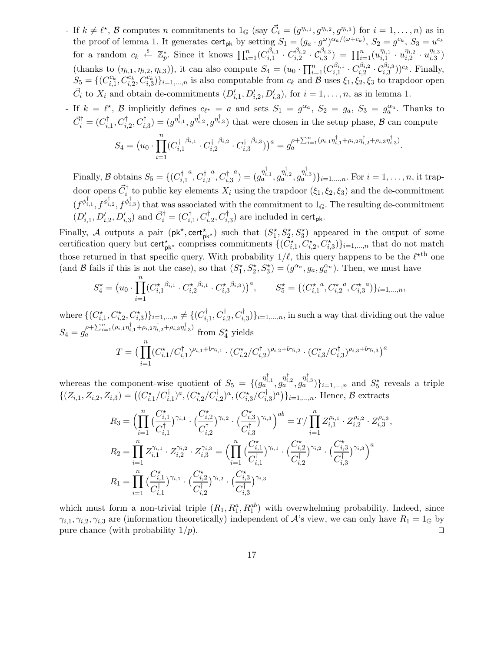- If  $k \neq \ell^*$ ,  $\mathcal B$  computes n commitments to  $1_{\mathbb G}$  (say  $\vec{C}_i = (g^{\eta_{i,1}}, g^{\eta_{i,2}}, g^{\eta_{i,3}})$  for  $i = 1,\ldots,n$ ) as in the proof of lemma 1. It generates  $\text{cert}_{\text{pk}}$  by setting  $S_1 = (g_a \cdot g^{\omega})^{\alpha_a/(\omega + c_k)}, S_2 = g^{c_k}, S_3 = u^{c_k}$ for a random  $c_k \stackrel{\hspace{0.1em}\mathsf{\scriptscriptstyle\$}}{\leftarrow} \mathbb{Z}_p^*$ . Since it knows  $\prod_{i=1}^n (C_{i,1}^{\beta_{i,1}})$  $\begin{array}{c} \beta_{i,1}\ i,1 \end{array} \cdot C_{i,2}^{\beta_{i,2}}$  $\delta_{i,2}^{\beta_{i,2}}\cdot \mathcal{C}^{\beta_{i,3}}_{i,3})\ =\ \prod_{i=1}^n (u_{i,1}^{\eta_{i,1}})$  $\frac{\eta_{i,1}}{i,1} \cdot u_{i,2}^{\eta_{i,2}}$  $\frac{\eta_{i,2}}{i,2} \cdot u_{i,3}^{\eta_{i,3}}$  $\binom{n,3}{i,3}$ (thanks to  $(\eta_{i,1}, \eta_{i,2}, \eta_{i,3})$ ), it can also compute  $S_4 = (u_0 \cdot \prod_{i=1}^n (C_{i,1}^{\beta_{i,1}}))$  $\frac{\beta_{i,1}}{i,1}\cdot C_{i,2}^{\beta_{i,2}}$  $(\hat{c}_{i,2}^{\beta_{i,2}} \cdot \hat{c}_{i,3}^{\beta_{i,3}}))^{c_k}$ . Finally,  $S_5 = \{ (C_{i,1}^{c_k}, C_{i,2}^{c_k}, C_{i,3}^{c_k}) \}_{i=1,\dots,n}$  is also computable from  $c_k$  and B uses  $\xi_1, \xi_2, \xi_3$  to trapdoor open  $\vec{C}_i$  to  $X_i$  and obtain de-commitments  $(D'_{i,1}, D'_{i,2}, D'_{i,3})$ , for  $i = 1, \ldots, n$ , as in lemma 1.
- If  $k = \ell^*$ ,  $\beta$  implicitly defines  $c_{\ell^*} = a$  and sets  $S_1 = g^{\alpha_a}$ ,  $S_2 = g_a$ ,  $S_3 = g_a^{\alpha_u}$ . Thanks to  $\vec{C}_i^\dagger = (C_{i,}^\dagger$  $i_{i,1}^{\dagger}, C_{i,2}^{\dagger}, C_{i,3}^{\dagger}$  =  $(g^{\eta_{i,1}^{\dagger}}, g^{\eta_{i,2}^{\dagger}}, g^{\eta_{i,3}^{\dagger}})$  that were chosen in the setup phase,  $\mathcal{B}$  can compute

$$
S_4 = (u_0 \cdot \prod_{i=1}^n (C_{i,1}^{\dagger}{}^{\beta_{i,1}} \cdot C_{i,2}^{\dagger}{}^{\beta_{i,2}} \cdot C_{i,3}^{\dagger}{}^{\beta_{i,3}}))^{a} = g_a^{\rho + \sum_{i=1}^n (\rho_{i,1} \eta_{i,1}^{\dagger} + \rho_{i,2} \eta_{i,2}^{\dagger} + \rho_{i,3} \eta_{i,3}^{\dagger})}.
$$

Finally,  $\mathcal{B}$  obtains  $S_5 = \{ (C_i^{\dagger})$  $_{i,1}$  $^a,C^\dagger_{i,2}$  $^a,C^\dagger_{i,3}$  $\mathbf{a}^{(a)}_j = (g_a^{\eta_{i,1}^{\dagger}}, g_a^{\eta_{i,2}^{\dagger}}, g_a^{\eta_{i,3}^{\dagger}}) \}_{i=1,\ldots,n}$ . For  $i = 1, \ldots, n$ , it trapdoor opens  $\vec{C}_i^{\dagger}$  to public key elements  $X_i$  using the trapdoor  $(\xi_1, \xi_2, \xi_3)$  and the de-commitment  $(f^{\phi_{i,1}^{\dagger}},f^{\phi_{i,2}^{\dagger}},f^{\phi_{i,3}^{\dagger}})$  that was associated with the commitment to  $1_{\mathbb{G}}$ . The resulting de-commitment  $(D'_{i,1}, D'_{i,2}, D'_{i,3})$  and  $\vec{C}_i^{\dagger} = (C_{i,1}^{\dagger})$  $\langle c_{i,1}^\dagger, C_{i,2}^\dagger, C_{i,3}^\dagger \rangle$  are included in cert<sub>pk</sub>.

Finally, A outputs a pair  $(\mathsf{pk}^{\star}, \mathsf{cert}_{\mathsf{pk}^{\star}})$  such that  $(S_1^{\star}, S_2^{\star}, S_3^{\star})$  appeared in the output of some certification query but cert<sub>pk\*</sub> comprises commitments  $\{(C_{i,1}^{\star}, C_{i,2}^{\star}, C_{i,3}^{\star})\}_{i=1,\ldots,n}$  that do not match those returned in that specific query. With probability  $1/\ell$ , this query happens to be the  $\ell^{\star\text{th}}$  one (and B fails if this is not the case), so that  $(S_1^*, S_2^*, S_3^*) = (g^{\alpha_a}, g_a, g_a^{\alpha_u})$ . Then, we must have

$$
S_4^* = (u_0 \cdot \prod_{i=1}^n (C_{i,1}^{*}{}^{\beta_{i,1}} \cdot C_{i,2}^{*}{}^{\beta_{i,1}} \cdot C_{i,3}^{*}{}^{\beta_{i,3}}))^a, \qquad S_5^* = \{ (C_{i,1}^{*}{}^a, C_{i,2}^{*}{}^a, C_{i,3}^{*}{}^a) \}_{i=1,\dots,n},
$$

where  $\{ (C_{i,1}^{\star}, C_{i,2}^{\star}, C_{i,3}^{\star}) \}_{i=1,...,n} \neq \{ (C_{i,1}^{\dagger}, C_{i,2}^{\dagger}, C_{i,3}^{\dagger}) \}_{i=1,...,n} \neq \{ (C_{i,1}^{\dagger}, C_{i,2}^{\dagger}, C_{i,3}^{\dagger}) \}_{i=1,...,n} \neq \{ (C_{i,1}^{\dagger}, C_{i,2}^{\dagger}, C_{i,3}^{\dagger}) \}_{i=1,...,n} \neq \{ (C_{i,2}^{\dagger}, C_{i,3}^{\dagger})$  $\langle \phi_{i,1}^{\dagger}, C_{i,2}^{\dagger}, C_{i,3}^{\dagger} \rangle \}_{i=1,\dots,n}$ , in such a way that dividing out the value  $S_4 = g_a^{\rho + \sum_{i=1}^n (\rho_{i,1}\eta_{i,1}^\dagger + \rho_{i,2}\eta_{i,2}^\dagger + \rho_{i,3}\eta_{i,3}^\dagger)}$  from  $S_4^*$  yields  $T = \left(\prod^{n} \right)$  $(C_{i,1}^{\star}/C_{i,1}^{\dagger})^{\rho_{i,1}+b\gamma_{i,1}}\cdot (C_{i,2}^{\star}/C_{i,2}^{\dagger})^{\rho_{i,2}+b\gamma_{i,2}}\cdot (C_{i,3}^{\star}/C_{i,3}^{\dagger})^{\rho_{i,3}+b\gamma_{i,3}})^{a}$ 

whereas the component-wise quotient of  $S_5 = \{ (g_a^{n^{\dagger}_{i,1}}, g_a^{n^{\dagger}_{i,2}}, g_a^{n^{\dagger}_{i,3}}) \}_{i=1,\dots,n}$  and  $S_5^*$  reveals a triple  $\{(Z_{i,1}, Z_{i,2}, Z_{i,3}) = ((C_{i,1}^{\star}/C_{i,1}^{\dagger})^a, (C_{i,2}^{\star}/C_{i,2}^{\dagger})^a, (C_{i,3}^{\star}/C_{i,3}^{\dagger})^a)\}_{i=1,\dots,n}$ . Hence,  $\mathcal{B}$  extracts

 $\frac{i=1}{i}$ 

$$
R_3 = \left(\prod_{i=1}^n \left(\frac{C_{i,1}^*}{C_{i,1}^\dagger}\right)^{\gamma_{i,1}} \cdot \left(\frac{C_{i,2}^*}{C_{i,2}^\dagger}\right)^{\gamma_{i,2}} \cdot \left(\frac{C_{i,3}^*}{C_{i,3}^\dagger}\right)^{\gamma_{i,3}}\right)^{ab} = T / \prod_{i=1}^n Z_{i,1}^{\rho_{i,1}} \cdot Z_{i,2}^{\rho_{i,2}} \cdot Z_{i,3}^{\rho_{i,3}},
$$
  
\n
$$
R_2 = \prod_{i=1}^n Z_{i,1}^{\gamma_{i,1}} \cdot Z_{i,2}^{\gamma_{i,2}} \cdot Z_{i,3}^{\gamma_{i,3}} = \left(\prod_{i=1}^n \left(\frac{C_{i,1}^*}{C_{i,1}^\dagger}\right)^{\gamma_{i,1}} \cdot \left(\frac{C_{i,2}^*}{C_{i,2}^\dagger}\right)^{\gamma_{i,2}} \cdot \left(\frac{C_{i,3}^*}{C_{i,3}^\dagger}\right)^{\gamma_{i,3}}\right)^a
$$
  
\n
$$
R_1 = \prod_{i=1}^n \left(\frac{C_{i,1}^*}{C_{i,1}^\dagger}\right)^{\gamma_{i,1}} \cdot \left(\frac{C_{i,2}^*}{C_{i,2}^\dagger}\right)^{\gamma_{i,2}} \cdot \left(\frac{C_{i,3}^*}{C_{i,3}^\dagger}\right)^{\gamma_{i,3}}
$$

which must form a non-trivial triple  $(R_1, R_1^a, R_1^{ab})$  with overwhelming probability. Indeed, since  $\gamma_{i,1},\gamma_{i,2},\gamma_{i,3}$  are (information theoretically) independent of A's view, we can only have  $R_1 = 1$  by pure chance (with probability  $1/p$ ). □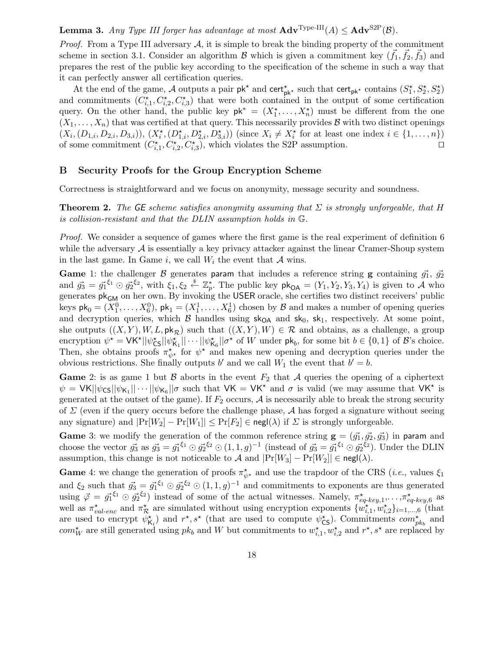**Lemma 3.** Any Type III forger has advantage at most  $\mathbf{Adv}^{\text{Type-III}}(A) \leq \mathbf{Adv}^{\text{S2P}}(\mathcal{B}).$ 

*Proof.* From a Type III adversary  $A$ , it is simple to break the binding property of the commitment scheme in section 3.1. Consider an algorithm  $\mathcal B$  which is given a commitment key  $(\vec{f}_1, \vec{f}_2, \vec{f}_3)$  and prepares the rest of the public key according to the specification of the scheme in such a way that it can perfectly answer all certification queries.

At the end of the game, A outputs a pair  $pk^*$  and cert<sub>pk<sup>\*</sup></sub> such that cert<sub>pk<sup>\*</sup></sub> contains  $(S_1^*, S_2^*, S_2^*)$ and commitments  $(C_{i,1}^*, C_{i,2}^*, C_{i,3}^*)$  that were both contained in the output of some certification query. On the other hand, the public key  $pk^* = (X_1^*, \ldots, X_n^*)$  must be different from the one  $(X_1,\ldots,X_n)$  that was certified at that query. This necessarily provides B with two distinct openings  $(X_i,(D_{1,i},D_{2,i},D_{3,i}))$ ,  $(X_i^{\star},(D_{1,i}^{\star},D_{2,i}^{\star},D_{3,i}^{\star}))$  (since  $X_i \neq X_i^{\star}$  for at least one index  $i \in \{1,\ldots,n\}$ ) of some commitment  $(C_{i,1}^{\star}, C_{i,2}^{\star}, C_{i,3}^{\star})$ , which violates the S2P assumption. □

## B Security Proofs for the Group Encryption Scheme

Correctness is straightforward and we focus on anonymity, message security and soundness.

**Theorem 2.** The GE scheme satisfies anonymity assuming that  $\Sigma$  is strongly unforgeable, that H is collision-resistant and that the DLIN assumption holds in G.

Proof. We consider a sequence of games where the first game is the real experiment of definition 6 while the adversary  $A$  is essentially a key privacy attacker against the linear Cramer-Shoup system in the last game. In Game i, we call  $W_i$  the event that  $A$  wins.

**Game** 1: the challenger B generates param that includes a reference string **g** containing  $\vec{g}_1$ ,  $\vec{g}_2$ and  $\vec{g}_3 = \vec{g}_1^{\xi_1} \odot \vec{g}_2^{\xi_2}$ , with  $\xi_1, \xi_2 \stackrel{\text{d}}{\leftarrow} \mathbb{Z}_p^*$ . The public key  $\mathsf{pk}_{\mathsf{OA}} = (Y_1, Y_2, Y_3, Y_4)$  is given to A who generates  $pk_{GM}$  on her own. By invoking the USER oracle, she certifies two distinct receivers' public keys  $\mathsf{pk}_0 = (X_1^0, \ldots, X_6^0)$ ,  $\mathsf{pk}_1 = (X_1^1, \ldots, X_6^1)$  chosen by  $\mathcal B$  and makes a number of opening queries and decryption queries, which  $\beta$  handles using  $sk_{OA}$  and  $sk_0$ ,  $sk_1$ , respectively. At some point, she outputs  $((X, Y), W, L, \mathsf{pk}_{\mathcal{R}})$  such that  $((X, Y), W) \in \mathcal{R}$  and obtains, as a challenge, a group encryption  $\psi^* = \mathsf{VK}^* || \psi^*_{\mathsf{CS}} || \psi^*_{\mathsf{K}_1} || \cdots || \psi^*_{\mathsf{K}_6} || \sigma^*$  of W under  $\mathsf{pk}_b$ , for some bit  $b \in \{0,1\}$  of  $\mathcal{B}$ 's choice. Then, she obtains proofs  $\pi^*_{\psi^*}$  for  $\psi^*$  and makes new opening and decryption queries under the obvious restrictions. She finally outputs b' and we call  $W_1$  the event that  $b' = b$ .

**Game** 2: is as game 1 but  $\beta$  aborts in the event  $F_2$  that  $\mathcal A$  queries the opening of a ciphertext  $\psi = \mathsf{VK} ||\psi_{\mathsf{CS}}||\psi_{\mathsf{K}_1}|| \cdots ||\psi_{\mathsf{K}_6}||\sigma$  such that  $\mathsf{VK} = \mathsf{VK}^*$  and  $\sigma$  is valid (we may assume that  $\mathsf{VK}^*$  is generated at the outset of the game). If  $F_2$  occurs,  $\mathcal A$  is necessarily able to break the strong security of  $\Sigma$  (even if the query occurs before the challenge phase, A has forged a signature without seeing any signature) and  $|\Pr[W_2] - \Pr[W_1]| \leq \Pr[F_2] \in \operatorname{negl}(\lambda)$  if  $\Sigma$  is strongly unforgeable.

**Game** 3: we modify the generation of the common reference string  $\mathbf{g} = (\vec{g_1}, \vec{g_2}, \vec{g_3})$  in param and choose the vector  $\vec{g_3}$  as  $\vec{g_3} = \vec{g_1}^{\xi_1} \odot \vec{g_2}^{\xi_2} \odot (1,1,g)^{-1}$  (instead of  $\vec{g_3} = \vec{g_1}^{\xi_1} \odot \vec{g_2}^{\xi_2}$ ). Under the DLIN assumption, this change is not noticeable to A and  $|\Pr[W_3] - \Pr[W_2]| \in \mathsf{negl}(\lambda)$ .

**Game** 4: we change the generation of proofs  $\pi_{\psi^*}^*$  and use the trapdoor of the CRS (*i.e.*, values  $\xi_1$ and  $\xi_2$  such that  $\vec{g}_3 = \vec{g}_1^{\xi_1} \odot \vec{g}_2^{\xi_2} \odot (1, 1, g)^{-1}$  and commitments to exponents are thus generated using  $\vec{\varphi} = \vec{g_1}^{\xi_1} \odot \vec{g_2}^{\xi_2}$  instead of some of the actual witnesses. Namely,  $\pi_{eq\text{-}key,1}^{\star}, \ldots, \pi_{eq\text{-}key,6}^{\star}$  as well as  $\pi_{val\text{-}enc}^{\star}$  and  $\pi_{\mathcal{R}}^{\star}$  are simulated without using encryption exponents  $\{w_{i,1}^{\star}, w_{i,2}^{\star}\}_{i=1,\dots,6}$  (that are used to encrypt  $\psi_{\mathsf{K}_i}^{\star}$  and  $r^{\star}, s^{\star}$  (that are used to compute  $\psi_{\mathsf{CS}}^{\star}$ ). Commitments  $com_{pk_b}^{\star}$  and  $com_W^{\star}$  are still generated using  $pk_b$  and W but commitments to  $w_{i,1}^{\star}, w_{i,2}^{\star}$  and  $r^{\star}, s^{\star}$  are replaced by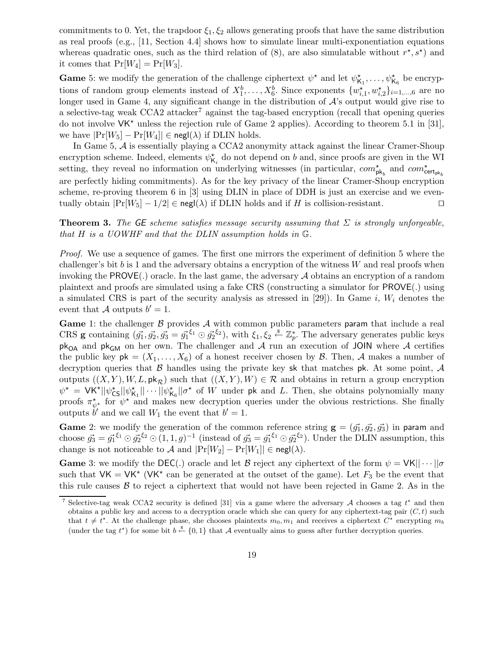commitments to 0. Yet, the trapdoor  $\xi_1, \xi_2$  allows generating proofs that have the same distribution as real proofs (e.g., [11, Section 4.4] shows how to simulate linear multi-exponentiation equations whereas quadratic ones, such as the third relation of (8), are also simulatable without  $r^*, s^*$ ) and it comes that  $Pr[W_4] = Pr[W_3]$ .

**Game** 5: we modify the generation of the challenge ciphertext  $\psi^*$  and let  $\psi^*_{K_1}, \ldots, \psi^*_{K_6}$  be encryptions of random group elements instead of  $X_1^b, \ldots, X_6^b$ . Since exponents  $\{w_{i,1}^{\star}, w_{i,2}^{\star}\}_{i=1,\ldots,6}$  are no longer used in Game 4, any significant change in the distribution of  $A$ 's output would give rise to a selective-tag weak CCA2 attacker<sup>7</sup> against the tag-based encryption (recall that opening queries do not involve  $VK^*$  unless the rejection rule of Game 2 applies). According to theorem 5.1 in [31], we have  $|\Pr[W_5] - \Pr[W_4]| \in \mathsf{negl}(\lambda)$  if DLIN holds.

In Game 5, A is essentially playing a CCA2 anonymity attack against the linear Cramer-Shoup encryption scheme. Indeed, elements  $\psi_{\mathsf{K}_i}^{\star}$  do not depend on b and, since proofs are given in the WI setting, they reveal no information on underlying witnesses (in particular,  $com_{\mathsf{pk}_b}^{\star}$  and  $com_{\mathsf{cert}_{\mathsf{pk}_b}}^{\star}$ are perfectly hiding commitments). As for the key privacy of the linear Cramer-Shoup encryption scheme, re-proving theorem 6 in [3] using DLIN in place of DDH is just an exercise and we eventually obtain  $|\Pr[W_5] - 1/2| \in \mathsf{negl}(\lambda)$  if DLIN holds and if H is collision-resistant. □

**Theorem 3.** The GE scheme satisfies message security assuming that  $\Sigma$  is strongly unforgeable, that H is a UOWHF and that the DLIN assumption holds in G.

Proof. We use a sequence of games. The first one mirrors the experiment of definition 5 where the challenger's bit  $b$  is 1 and the adversary obtains a encryption of the witness  $W$  and real proofs when invoking the  $PROVE(.)$  oracle. In the last game, the adversary  $\mathcal A$  obtains an encryption of a random plaintext and proofs are simulated using a fake CRS (constructing a simulator for PROVE(.) using a simulated CRS is part of the security analysis as stressed in [29]). In Game  $i, W_i$  denotes the event that A outputs  $b' = 1$ .

Game 1: the challenger  $\beta$  provides  $\mathcal A$  with common public parameters param that include a real CRS g containing  $(\vec{g_1}, \vec{g_2}, \vec{g_3} = \vec{g_1}^{\xi_1} \odot \vec{g_2}^{\xi_2})$ , with  $\xi_1, \xi_2 \stackrel{\$}{\leftarrow} \mathbb{Z}_p^*$ . The adversary generates public keys  $pk_{OA}$  and  $pk_{GM}$  on her own. The challenger and A run an execution of JOIN where A certifies the public key  $pk = (X_1, \ldots, X_6)$  of a honest receiver chosen by  $\beta$ . Then,  $\mathcal A$  makes a number of decryption queries that  $\beta$  handles using the private key sk that matches pk. At some point,  $\mathcal A$ outputs  $((X,Y),W,L, \mathsf{pk}_{\mathcal{R}})$  such that  $((X,Y),W) \in \mathcal{R}$  and obtains in return a group encryption  $\psi^* = \mathsf{V}\mathsf{K}^*||\psi^*_{\mathsf{CS}}||\psi^*_{\mathsf{K}_1}||\cdots||\psi^*_{\mathsf{K}_6}||\sigma^*$  of W under pk and L. Then, she obtains polynomially many proofs  $\pi_{\psi^*}^*$  for  $\psi^*$  and makes new decryption queries under the obvious restrictions. She finally outputs  $b'$  and we call  $W_1$  the event that  $b' = 1$ .

Game 2: we modify the generation of the common reference string  $\mathbf{g} = (\vec{g_1}, \vec{g_2}, \vec{g_3})$  in param and choose  $\vec{g}_3 = \vec{g}_1^{\xi_1} \odot \vec{g}_2^{\xi_2} \odot (1, 1, g)^{-1}$  (instead of  $\vec{g}_3 = \vec{g}_1^{\xi_1} \odot \vec{g}_2^{\xi_2}$ ). Under the DLIN assumption, this change is not noticeable to A and  $|Pr[W_2] - Pr[W_1]| \in negl(\lambda)$ .

**Game** 3: we modify the DEC(.) oracle and let B reject any ciphertext of the form  $\psi = VK||\cdots||\sigma$ such that  $VK = VK^*$  ( $VK^*$  can be generated at the outset of the game). Let  $F_3$  be the event that this rule causes  $\beta$  to reject a ciphertext that would not have been rejected in Game 2. As in the

<sup>&</sup>lt;sup>7</sup> Selective-tag weak CCA2 security is defined [31] via a game where the adversary A chooses a tag  $t^*$  and then obtains a public key and access to a decryption oracle which she can query for any ciphertext-tag pair  $(C, t)$  such that  $t \neq t^*$ . At the challenge phase, she chooses plaintexts  $m_0, m_1$  and receives a ciphertext  $C^*$  encrypting  $m_b$ (under the tag  $t^*$ ) for some bit  $b \stackrel{\$}{\leftarrow} \{0,1\}$  that A eventually aims to guess after further decryption queries.